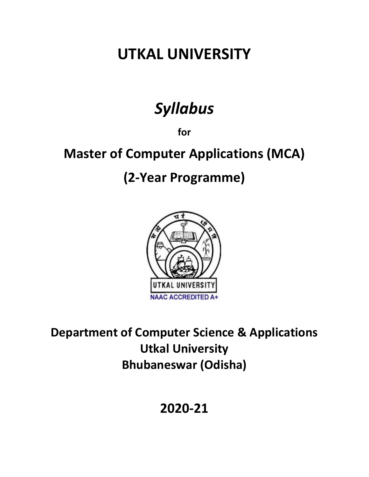# **UTKAL UNIVERSITY**

# *Syllabus*

**for**

# **Master of Computer Applications (MCA)**

# **(2-Year Programme)**



**Department of Computer Science & Applications Utkal University Bhubaneswar (Odisha)**

**2020-21**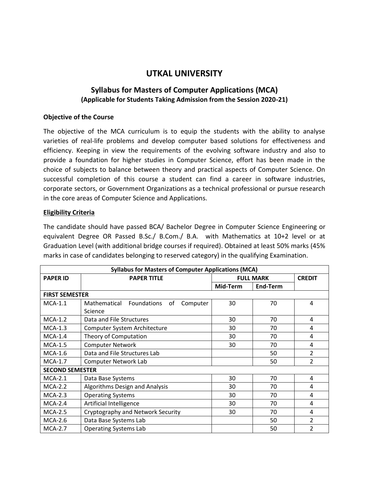# **UTKAL UNIVERSITY**

## **Syllabus for Masters of Computer Applications (MCA) (Applicable for Students Taking Admission from the Session 2020-21)**

## **Objective of the Course**

The objective of the MCA curriculum is to equip the students with the ability to analyse varieties of real-life problems and develop computer based solutions for effectiveness and efficiency. Keeping in view the requirements of the evolving software industry and also to provide a foundation for higher studies in Computer Science, effort has been made in the choice of subjects to balance between theory and practical aspects of Computer Science. On successful completion of this course a student can find a career in software industries, corporate sectors, or Government Organizations as a technical professional or pursue research in the core areas of Computer Science and Applications.

## **Eligibility Criteria**

The candidate should have passed BCA/ Bachelor Degree in Computer Science Engineering or equivalent Degree OR Passed B.Sc./ B.Com./ B.A. with Mathematics at 10+2 level or at Graduation Level (with additional bridge courses if required). Obtained at least 50% marks (45% marks in case of candidates belonging to reserved category) in the qualifying Examination.

| <b>Syllabus for Masters of Computer Applications (MCA)</b> |                                               |                  |          |                |  |
|------------------------------------------------------------|-----------------------------------------------|------------------|----------|----------------|--|
| <b>PAPER ID</b>                                            | <b>PAPER TITLE</b>                            | <b>FULL MARK</b> |          | <b>CREDIT</b>  |  |
|                                                            |                                               | Mid-Term         | End-Term |                |  |
| <b>FIRST SEMESTER</b>                                      |                                               |                  |          |                |  |
| $MCA-1.1$                                                  | Mathematical<br>Foundations<br>Computer<br>οf | 30               | 70       | $\overline{4}$ |  |
|                                                            | Science                                       |                  |          |                |  |
| $MCA-1.2$                                                  | Data and File Structures                      | 30               | 70       | $\overline{a}$ |  |
| $MCA-1.3$                                                  | Computer System Architecture                  | 30               | 70       | $\overline{a}$ |  |
| $MCA-1.4$                                                  | Theory of Computation                         | 30               | 70       | 4              |  |
| $MCA-1.5$                                                  | <b>Computer Network</b>                       | 30               | 70       | 4              |  |
| $MCA-1.6$                                                  | Data and File Structures Lab                  |                  | 50       | $\overline{2}$ |  |
| $MCA-1.7$                                                  | <b>Computer Network Lab</b>                   |                  | 50       | $\overline{2}$ |  |
| <b>SECOND SEMESTER</b>                                     |                                               |                  |          |                |  |
| $MCA-2.1$                                                  | Data Base Systems                             | 30               | 70       | 4              |  |
| $MCA-2.2$                                                  | Algorithms Design and Analysis                | 30               | 70       | 4              |  |
| $MCA-2.3$                                                  | <b>Operating Systems</b>                      | 30               | 70       | $\overline{a}$ |  |
| $MCA-2.4$                                                  | Artificial Intelligence                       | 30               | 70       | 4              |  |
| <b>MCA-2.5</b>                                             | Cryptography and Network Security             | 30               | 70       | 4              |  |
| <b>MCA-2.6</b>                                             | Data Base Systems Lab                         |                  | 50       | $\overline{2}$ |  |
| <b>MCA-2.7</b>                                             | <b>Operating Systems Lab</b>                  |                  | 50       | $\overline{2}$ |  |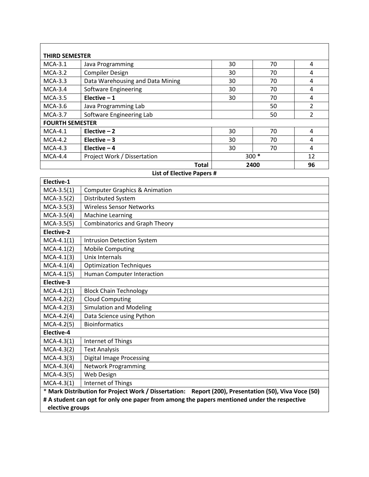|                        | <b>THIRD SEMESTER</b>            |      |        |                |  |  |  |  |
|------------------------|----------------------------------|------|--------|----------------|--|--|--|--|
| $MCA-3.1$              | Java Programming                 | 30   | 70     | 4              |  |  |  |  |
| $MCA-3.2$              | <b>Compiler Design</b>           | 30   | 70     | 4              |  |  |  |  |
| $MCA-3.3$              | Data Warehousing and Data Mining | 30   | 70     | 4              |  |  |  |  |
| $MCA-3.4$              | Software Engineering             | 30   | 70     | 4              |  |  |  |  |
| $MCA-3.5$              | Elective $-1$                    | 30   | 70     | 4              |  |  |  |  |
| $MCA-3.6$              | Java Programming Lab             |      | 50     | $\overline{2}$ |  |  |  |  |
| $MCA-3.7$              | Software Engineering Lab         |      | 50     | $\overline{2}$ |  |  |  |  |
| <b>FOURTH SEMESTER</b> |                                  |      |        |                |  |  |  |  |
| $MCA-4.1$              | Elective $-2$                    | 30   | 70     | 4              |  |  |  |  |
| $MCA-4.2$              | Elective $-3$                    | 30   | 70     | 4              |  |  |  |  |
| $MCA-4.3$              | Elective $-4$                    | 30   | 70     | 4              |  |  |  |  |
| $MCA-4.4$              | Project Work / Dissertation      |      | $300*$ | 12             |  |  |  |  |
|                        | Total                            | 2400 |        | 96             |  |  |  |  |

## **List of Elective Papers #**

 $\overline{\phantom{a}}$ 

| Elective-1      |                                                                                                      |
|-----------------|------------------------------------------------------------------------------------------------------|
| $MCA-3.5(1)$    | <b>Computer Graphics &amp; Animation</b>                                                             |
| $MCA-3.5(2)$    | Distributed System                                                                                   |
| $MCA-3.5(3)$    | <b>Wireless Sensor Networks</b>                                                                      |
| $MCA-3.5(4)$    | <b>Machine Learning</b>                                                                              |
| $MCA-3.5(5)$    | <b>Combinatorics and Graph Theory</b>                                                                |
| Elective-2      |                                                                                                      |
| $MCA-4.1(1)$    | <b>Intrusion Detection System</b>                                                                    |
| $MCA-4.1(2)$    | <b>Mobile Computing</b>                                                                              |
| $MCA-4.1(3)$    | Unix Internals                                                                                       |
| $MCA-4.1(4)$    | <b>Optimization Techniques</b>                                                                       |
| $MCA-4.1(5)$    | Human Computer Interaction                                                                           |
| Elective-3      |                                                                                                      |
| $MCA-4.2(1)$    | <b>Block Chain Technology</b>                                                                        |
| $MCA-4.2(2)$    | <b>Cloud Computing</b>                                                                               |
| $MCA-4.2(3)$    | <b>Simulation and Modeling</b>                                                                       |
| $MCA-4.2(4)$    | Data Science using Python                                                                            |
| $MCA-4.2(5)$    | <b>Bioinformatics</b>                                                                                |
| Elective-4      |                                                                                                      |
| $MCA-4.3(1)$    | Internet of Things                                                                                   |
| $MCA-4.3(2)$    | <b>Text Analysis</b>                                                                                 |
| $MCA-4.3(3)$    | <b>Digital Image Processing</b>                                                                      |
| $MCA-4.3(4)$    | <b>Network Programming</b>                                                                           |
| $MCA-4.3(5)$    | Web Design                                                                                           |
| $MCA-4.3(1)$    | Internet of Things                                                                                   |
|                 | * Mark Distribution for Project Work / Dissertation: Report (200), Presentation (50), Viva Voce (50) |
|                 | # A student can opt for only one paper from among the papers mentioned under the respective          |
| elective groups |                                                                                                      |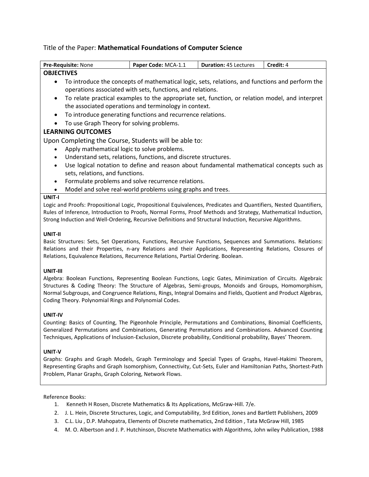## Title of the Paper: **Mathematical Foundations of Computer Science**

| Pre-Requisite: None                                                                                                                                                                                                                                                                                                          | Paper Code: MCA-1.1                                                                             | <b>Duration: 45 Lectures</b> | Credit: 4 |  |
|------------------------------------------------------------------------------------------------------------------------------------------------------------------------------------------------------------------------------------------------------------------------------------------------------------------------------|-------------------------------------------------------------------------------------------------|------------------------------|-----------|--|
| <b>OBJECTIVES</b>                                                                                                                                                                                                                                                                                                            |                                                                                                 |                              |           |  |
|                                                                                                                                                                                                                                                                                                                              | To introduce the concepts of mathematical logic, sets, relations, and functions and perform the |                              |           |  |
|                                                                                                                                                                                                                                                                                                                              | operations associated with sets, functions, and relations.                                      |                              |           |  |
| $\bullet$                                                                                                                                                                                                                                                                                                                    | To relate practical examples to the appropriate set, function, or relation model, and interpret |                              |           |  |
|                                                                                                                                                                                                                                                                                                                              | the associated operations and terminology in context.                                           |                              |           |  |
| $\bullet$                                                                                                                                                                                                                                                                                                                    | To introduce generating functions and recurrence relations.                                     |                              |           |  |
| To use Graph Theory for solving problems.                                                                                                                                                                                                                                                                                    |                                                                                                 |                              |           |  |
| <b>LEARNING OUTCOMES</b>                                                                                                                                                                                                                                                                                                     |                                                                                                 |                              |           |  |
| Upon Completing the Course, Students will be able to:                                                                                                                                                                                                                                                                        |                                                                                                 |                              |           |  |
| Apply mathematical logic to solve problems.                                                                                                                                                                                                                                                                                  |                                                                                                 |                              |           |  |
| $\bullet$                                                                                                                                                                                                                                                                                                                    | Understand sets, relations, functions, and discrete structures.                                 |                              |           |  |
| $\bullet$                                                                                                                                                                                                                                                                                                                    | Use logical notation to define and reason about fundamental mathematical concepts such as       |                              |           |  |
| sets, relations, and functions.                                                                                                                                                                                                                                                                                              |                                                                                                 |                              |           |  |
| $\bullet$                                                                                                                                                                                                                                                                                                                    | Formulate problems and solve recurrence relations.                                              |                              |           |  |
| $\bullet$                                                                                                                                                                                                                                                                                                                    | Model and solve real-world problems using graphs and trees.                                     |                              |           |  |
| UNIT-I                                                                                                                                                                                                                                                                                                                       |                                                                                                 |                              |           |  |
| Logic and Proofs: Propositional Logic, Propositional Equivalences, Predicates and Quantifiers, Nested Quantifiers,                                                                                                                                                                                                           |                                                                                                 |                              |           |  |
| Rules of Inference, Introduction to Proofs, Normal Forms, Proof Methods and Strategy, Mathematical Induction,                                                                                                                                                                                                                |                                                                                                 |                              |           |  |
| Strong Induction and Well-Ordering, Recursive Definitions and Structural Induction, Recursive Algorithms.                                                                                                                                                                                                                    |                                                                                                 |                              |           |  |
| UNIT-II<br>Basic Structures: Sets, Set Operations, Functions, Recursive Functions, Sequences and Summations. Relations:<br>Relations and their Properties, n-ary Relations and their Applications, Representing Relations, Closures of<br>Relations, Equivalence Relations, Recurrence Relations, Partial Ordering. Boolean. |                                                                                                 |                              |           |  |

#### **UNIT-III**

Algebra: Boolean Functions, Representing Boolean Functions, Logic Gates, Minimization of Circuits. Algebraic Structures & Coding Theory: The Structure of Algebras, Semi-groups, Monoids and Groups, Homomorphism, Normal Subgroups, and Congruence Relations, Rings, Integral Domains and Fields, Quotient and Product Algebras, Coding Theory. Polynomial Rings and Polynomial Codes.

#### **UNIT-IV**

Counting: Basics of Counting, The Pigeonhole Principle, Permutations and Combinations, Binomial Coefficients, Generalized Permutations and Combinations, Generating Permutations and Combinations. Advanced Counting Techniques, Applications of Inclusion-Exclusion, Discrete probability, Conditional probability, Bayes' Theorem.

#### **UNIT-V**

Graphs: Graphs and Graph Models, Graph Terminology and Special Types of Graphs, Havel-Hakimi Theorem, Representing Graphs and Graph Isomorphism, Connectivity, Cut-Sets, Euler and Hamiltonian Paths, Shortest-Path Problem, Planar Graphs, Graph Coloring, Network Flows.

#### Reference Books:

- 1. Kenneth H Rosen, Discrete Mathematics & Its Applications, McGraw-Hill. 7/e.
- 2. J. L. Hein, Discrete Structures, Logic, and Computability, 3rd Edition, Jones and Bartlett Publishers, 2009
- 3. C.L. Liu , D.P. Mahopatra, Elements of Discrete mathematics, 2nd Edition , Tata McGraw Hill, 1985
- 4. M. O. Albertson and J. P. Hutchinson, Discrete Mathematics with Algorithms, John wiley Publication, 1988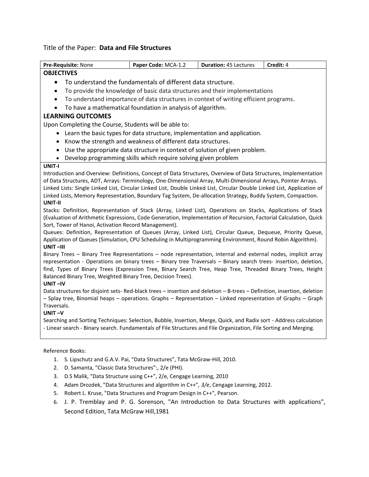## Title of the Paper: **Data and File Structures**

| Pre-Requisite: None                                                                                                                                                                                                                    | Paper Code: MCA-1.2                                                                   | <b>Duration: 45 Lectures</b> | Credit: 4 |  |
|----------------------------------------------------------------------------------------------------------------------------------------------------------------------------------------------------------------------------------------|---------------------------------------------------------------------------------------|------------------------------|-----------|--|
| <b>OBJECTIVES</b>                                                                                                                                                                                                                      |                                                                                       |                              |           |  |
| $\bullet$                                                                                                                                                                                                                              | To understand the fundamentals of different data structure.                           |                              |           |  |
| $\bullet$                                                                                                                                                                                                                              | To provide the knowledge of basic data structures and their implementations           |                              |           |  |
| $\bullet$                                                                                                                                                                                                                              | To understand importance of data structures in context of writing efficient programs. |                              |           |  |
| $\bullet$                                                                                                                                                                                                                              | To have a mathematical foundation in analysis of algorithm.                           |                              |           |  |
| <b>LEARNING OUTCOMES</b>                                                                                                                                                                                                               |                                                                                       |                              |           |  |
| Upon Completing the Course, Students will be able to:                                                                                                                                                                                  |                                                                                       |                              |           |  |
| $\bullet$                                                                                                                                                                                                                              | Learn the basic types for data structure, implementation and application.             |                              |           |  |
| ٠                                                                                                                                                                                                                                      | Know the strength and weakness of different data structures.                          |                              |           |  |
| $\bullet$                                                                                                                                                                                                                              | Use the appropriate data structure in context of solution of given problem.           |                              |           |  |
| $\bullet$                                                                                                                                                                                                                              | Develop programming skills which require solving given problem                        |                              |           |  |
| UNIT-I                                                                                                                                                                                                                                 |                                                                                       |                              |           |  |
| Introduction and Overview: Definitions, Concept of Data Structures, Overview of Data Structures, Implementation                                                                                                                        |                                                                                       |                              |           |  |
| of Data Structures, ADT, Arrays: Terminology, One-Dimensional Array, Multi-Dimensional Arrays, Pointer Arrays.                                                                                                                         |                                                                                       |                              |           |  |
| Linked Lists: Single Linked List, Circular Linked List, Double Linked List, Circular Double Linked List, Application of                                                                                                                |                                                                                       |                              |           |  |
| Linked Lists, Memory Representation, Boundary Tag System, De-allocation Strategy, Buddy System, Compaction.                                                                                                                            |                                                                                       |                              |           |  |
| UNIT-II<br>Stacks: Definition, Representation of Stack (Array, Linked List), Operations on Stacks, Applications of Stack                                                                                                               |                                                                                       |                              |           |  |
| (Evaluation of Arithmetic Expressions, Code Generation, Implementation of Recursion, Factorial Calculation, Quick                                                                                                                      |                                                                                       |                              |           |  |
| Sort, Tower of Hanoi, Activation Record Management).                                                                                                                                                                                   |                                                                                       |                              |           |  |
| Queues: Definition, Representation of Queues (Array, Linked List), Circular Queue, Dequeue, Priority Queue,                                                                                                                            |                                                                                       |                              |           |  |
| Application of Queues (Simulation, CPU Scheduling in Multiprogramming Environment, Round Robin Algorithm).                                                                                                                             |                                                                                       |                              |           |  |
| UNIT-III                                                                                                                                                                                                                               |                                                                                       |                              |           |  |
| Binary Trees - Binary Tree Representations - node representation, internal and external nodes, implicit array                                                                                                                          |                                                                                       |                              |           |  |
| representation - Operations on binary trees - Binary tree Traversals - Binary search trees- insertion, deletion,<br>find, Types of Binary Trees (Expression Tree, Binary Search Tree, Heap Tree, Threaded Binary Trees, Height         |                                                                                       |                              |           |  |
| Balanced Binary Tree, Weighted Binary Tree, Decision Trees).                                                                                                                                                                           |                                                                                       |                              |           |  |
| UNIT-IV                                                                                                                                                                                                                                |                                                                                       |                              |           |  |
| Data structures for disjoint sets-Red-black trees - insertion and deletion - B-trees - Definition, insertion, deletion                                                                                                                 |                                                                                       |                              |           |  |
| - Splay tree, Binomial heaps - operations. Graphs - Representation - Linked representation of Graphs - Graph                                                                                                                           |                                                                                       |                              |           |  |
| Traversals.                                                                                                                                                                                                                            |                                                                                       |                              |           |  |
| $UNIT -V$                                                                                                                                                                                                                              |                                                                                       |                              |           |  |
| Searching and Sorting Techniques: Selection, Bubble, Insertion, Merge, Quick, and Radix sort - Address calculation<br>- Linear search - Binary search. Fundamentals of File Structures and File Organization, File Sorting and Merging |                                                                                       |                              |           |  |
|                                                                                                                                                                                                                                        |                                                                                       |                              |           |  |
|                                                                                                                                                                                                                                        |                                                                                       |                              |           |  |
| Reference Books:                                                                                                                                                                                                                       |                                                                                       |                              |           |  |
| 1.                                                                                                                                                                                                                                     | S. Lipschutz and G.A.V. Pai, "Data Structures", Tata McGraw-Hill, 2010.               |                              |           |  |
| D. Samanta, "Classic Data Structures":, 2/e (PHI).<br>2.                                                                                                                                                                               |                                                                                       |                              |           |  |
| 3.                                                                                                                                                                                                                                     | D.S Malik, "Data Structure using C++", 2/e, Cengage Learning, 2010                    |                              |           |  |

- 4. Adam Drozdek, "Data Structures and algorithm in C++"*, 3/e*, Cengage Learning, 2012.
- 5. Robert L. Kruse, "Data Structures and Program Design in C++", Pearson.
- 6. J. P. Tremblay and P. G. Sorenson, "An Introduction to Data Structures with applications", Second Edition, Tata McGraw Hill,1981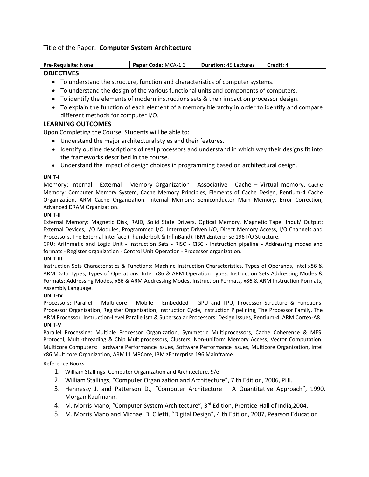# Title of the Paper: **Computer System Architecture**

| Pre-Requisite: None                                                                                                                                                                                             | Paper Code: MCA-1.3                                                                            | <b>Duration: 45 Lectures</b> | Credit: 4 |
|-----------------------------------------------------------------------------------------------------------------------------------------------------------------------------------------------------------------|------------------------------------------------------------------------------------------------|------------------------------|-----------|
| <b>OBJECTIVES</b>                                                                                                                                                                                               |                                                                                                |                              |           |
| • To understand the structure, function and characteristics of computer systems.                                                                                                                                |                                                                                                |                              |           |
| To understand the design of the various functional units and components of computers.<br>٠                                                                                                                      |                                                                                                |                              |           |
| To identify the elements of modern instructions sets & their impact on processor design.<br>$\bullet$                                                                                                           |                                                                                                |                              |           |
| To explain the function of each element of a memory hierarchy in order to identify and compare<br>$\bullet$                                                                                                     |                                                                                                |                              |           |
| different methods for computer I/O.                                                                                                                                                                             |                                                                                                |                              |           |
| <b>LEARNING OUTCOMES</b>                                                                                                                                                                                        |                                                                                                |                              |           |
| Upon Completing the Course, Students will be able to:                                                                                                                                                           |                                                                                                |                              |           |
| Understand the major architectural styles and their features.                                                                                                                                                   |                                                                                                |                              |           |
| Identify outline descriptions of real processors and understand in which way their designs fit into<br>$\bullet$                                                                                                |                                                                                                |                              |           |
| the frameworks described in the course.                                                                                                                                                                         |                                                                                                |                              |           |
| Understand the impact of design choices in programming based on architectural design.<br>$\bullet$                                                                                                              |                                                                                                |                              |           |
| UNIT-I                                                                                                                                                                                                          |                                                                                                |                              |           |
| Memory: Internal - External - Memory Organization - Associative - Cache – Virtual memory, Cache                                                                                                                 |                                                                                                |                              |           |
| Memory: Computer Memory System, Cache Memory Principles, Elements of Cache Design, Pentium-4 Cache                                                                                                              |                                                                                                |                              |           |
| Organization, ARM Cache Organization. Internal Memory: Semiconductor Main Memory, Error Correction,                                                                                                             |                                                                                                |                              |           |
| Advanced DRAM Organization.                                                                                                                                                                                     |                                                                                                |                              |           |
| UNIT-II                                                                                                                                                                                                         |                                                                                                |                              |           |
| External Memory: Magnetic Disk, RAID, Solid State Drivers, Optical Memory, Magnetic Tape. Input/ Output:                                                                                                        |                                                                                                |                              |           |
| External Devices, I/O Modules, Programmed I/O, Interrupt Driven I/O, Direct Memory Access, I/O Channels and<br>Processors, The External Interface (Thunderbolt & InfinBand), IBM zEnterprise 196 I/O Structure. |                                                                                                |                              |           |
| CPU: Arithmetic and Logic Unit - Instruction Sets - RISC - CISC - Instruction pipeline - Addressing modes and                                                                                                   |                                                                                                |                              |           |
| formats - Register organization - Control Unit Operation - Processor organization.                                                                                                                              |                                                                                                |                              |           |
| <b>UNIT-III</b>                                                                                                                                                                                                 |                                                                                                |                              |           |
| Instruction Sets Characteristics & Functions: Machine Instruction Characteristics, Types of Operands, Intel x86 &                                                                                               |                                                                                                |                              |           |
| ARM Data Types, Types of Operations, Inter x86 & ARM Operation Types. Instruction Sets Addressing Modes &                                                                                                       |                                                                                                |                              |           |
| Formats: Addressing Modes, x86 & ARM Addressing Modes, Instruction Formats, x86 & ARM Instruction Formats,                                                                                                      |                                                                                                |                              |           |
| Assembly Language.<br><b>UNIT-IV</b>                                                                                                                                                                            |                                                                                                |                              |           |
| Processors: Parallel - Multi-core - Mobile - Embedded - GPU and TPU, Processor Structure & Functions:                                                                                                           |                                                                                                |                              |           |
| Processor Organization, Register Organization, Instruction Cycle, Instruction Pipelining, The Processor Family, The                                                                                             |                                                                                                |                              |           |
| ARM Processor. Instruction-Level Parallelism & Superscalar Processors: Design Issues, Pentium-4, ARM Cortex-A8.                                                                                                 |                                                                                                |                              |           |
| UNIT-V                                                                                                                                                                                                          |                                                                                                |                              |           |
| Parallel Processing: Multiple Processor Organization, Symmetric Multiprocessors, Cache Coherence & MESI                                                                                                         |                                                                                                |                              |           |
| Protocol, Multi-threading & Chip Multiprocessors, Clusters, Non-uniform Memory Access, Vector Computation.                                                                                                      |                                                                                                |                              |           |
| Multicore Computers: Hardware Performance Issues, Software Performance Issues, Multicore Organization, Intel                                                                                                    |                                                                                                |                              |           |
| x86 Multicore Organization, ARM11 MPCore, IBM zEnterprise 196 Mainframe.                                                                                                                                        |                                                                                                |                              |           |
| Reference Books:                                                                                                                                                                                                |                                                                                                |                              |           |
| William Stallings: Computer Organization and Architecture. 9/e<br>1.                                                                                                                                            |                                                                                                |                              |           |
| 2.                                                                                                                                                                                                              | William Stallings, "Computer Organization and Architecture", 7 th Edition, 2006, PHI.          |                              |           |
| 3.                                                                                                                                                                                                              | Hennessy J. and Patterson D., "Computer Architecture - A Quantitative Approach", 1990,         |                              |           |
| Morgan Kaufmann.                                                                                                                                                                                                |                                                                                                |                              |           |
| 4.                                                                                                                                                                                                              | M. Morris Mano, "Computer System Architecture", 3rd Edition, Prentice-Hall of India, 2004.     |                              |           |
| 5.                                                                                                                                                                                                              | M. Morris Mano and Michael D. Ciletti, "Digital Design", 4 th Edition, 2007, Pearson Education |                              |           |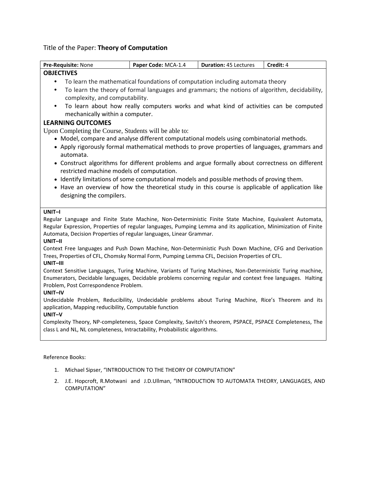# Title of the Paper: **Theory of Computation**

| Pre-Requisite: None                                                                                                                                  | Paper Code: MCA-1.4                                                                           | <b>Duration: 45 Lectures</b> | Credit: 4 |  |  |  |
|------------------------------------------------------------------------------------------------------------------------------------------------------|-----------------------------------------------------------------------------------------------|------------------------------|-----------|--|--|--|
| <b>OBJECTIVES</b>                                                                                                                                    |                                                                                               |                              |           |  |  |  |
| To learn the mathematical foundations of computation including automata theory<br>$\bullet$                                                          |                                                                                               |                              |           |  |  |  |
| $\bullet$                                                                                                                                            | To learn the theory of formal languages and grammars; the notions of algorithm, decidability, |                              |           |  |  |  |
| complexity, and computability.                                                                                                                       |                                                                                               |                              |           |  |  |  |
| $\bullet$                                                                                                                                            | To learn about how really computers works and what kind of activities can be computed         |                              |           |  |  |  |
| mechanically within a computer.                                                                                                                      |                                                                                               |                              |           |  |  |  |
| <b>LEARNING OUTCOMES</b>                                                                                                                             |                                                                                               |                              |           |  |  |  |
| Upon Completing the Course, Students will be able to:                                                                                                |                                                                                               |                              |           |  |  |  |
| • Model, compare and analyse different computational models using combinatorial methods.                                                             |                                                                                               |                              |           |  |  |  |
| • Apply rigorously formal mathematical methods to prove properties of languages, grammars and                                                        |                                                                                               |                              |           |  |  |  |
| automata.<br>• Construct algorithms for different problems and argue formally about correctness on different                                         |                                                                                               |                              |           |  |  |  |
| restricted machine models of computation.                                                                                                            |                                                                                               |                              |           |  |  |  |
| • Identify limitations of some computational models and possible methods of proving them.                                                            |                                                                                               |                              |           |  |  |  |
| • Have an overview of how the theoretical study in this course is applicable of application like                                                     |                                                                                               |                              |           |  |  |  |
| designing the compilers.                                                                                                                             |                                                                                               |                              |           |  |  |  |
|                                                                                                                                                      |                                                                                               |                              |           |  |  |  |
| UNIT-I                                                                                                                                               |                                                                                               |                              |           |  |  |  |
| Regular Language and Finite State Machine, Non-Deterministic Finite State Machine, Equivalent Automata,                                              |                                                                                               |                              |           |  |  |  |
| Regular Expression, Properties of regular languages, Pumping Lemma and its application, Minimization of Finite                                       |                                                                                               |                              |           |  |  |  |
| Automata, Decision Properties of regular languages, Linear Grammar.<br>UNIT-II                                                                       |                                                                                               |                              |           |  |  |  |
| Context Free languages and Push Down Machine, Non-Deterministic Push Down Machine, CFG and Derivation                                                |                                                                                               |                              |           |  |  |  |
| Trees, Properties of CFL, Chomsky Normal Form, Pumping Lemma CFL, Decision Properties of CFL.                                                        |                                                                                               |                              |           |  |  |  |
| UNIT-III                                                                                                                                             |                                                                                               |                              |           |  |  |  |
| Context Sensitive Languages, Turing Machine, Variants of Turing Machines, Non-Deterministic Turing machine,                                          |                                                                                               |                              |           |  |  |  |
| Enumerators, Decidable languages, Decidable problems concerning regular and context free languages. Halting<br>Problem, Post Correspondence Problem. |                                                                                               |                              |           |  |  |  |
| UNIT-IV                                                                                                                                              |                                                                                               |                              |           |  |  |  |
| Undecidable Problem, Reducibility, Undecidable problems about Turing Machine, Rice's Theorem and its                                                 |                                                                                               |                              |           |  |  |  |
| application, Mapping reducibility, Computable function                                                                                               |                                                                                               |                              |           |  |  |  |
| UNIT-V                                                                                                                                               |                                                                                               |                              |           |  |  |  |
| Complexity Theory, NP-completeness, Space Complexity, Savitch's theorem, PSPACE, PSPACE Completeness, The                                            |                                                                                               |                              |           |  |  |  |
| class L and NL, NL completeness, Intractability, Probabilistic algorithms.                                                                           |                                                                                               |                              |           |  |  |  |
|                                                                                                                                                      |                                                                                               |                              |           |  |  |  |
|                                                                                                                                                      |                                                                                               |                              |           |  |  |  |
| Reference Books:                                                                                                                                     |                                                                                               |                              |           |  |  |  |
| 1.                                                                                                                                                   | Michael Sipser, "INTRODUCTION TO THE THEORY OF COMPUTATION"                                   |                              |           |  |  |  |
| 2.<br><b>COMPUTATION"</b>                                                                                                                            | J.E. Hopcroft, R.Motwani and J.D.Ullman, "INTRODUCTION TO AUTOMATA THEORY, LANGUAGES, AND     |                              |           |  |  |  |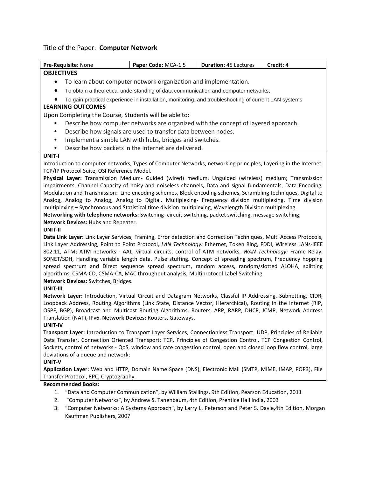# Title of the Paper: **Computer Network**

| Pre-Requisite: None                                                                                                                                                                                                              | Paper Code: MCA-1.5                                                                                                                                                                                                                                                                                                                                                                                                                                                                                                                                                                                                                                                                                  | Duration: 45 Lectures                                                                               | Credit: 4 |  |  |
|----------------------------------------------------------------------------------------------------------------------------------------------------------------------------------------------------------------------------------|------------------------------------------------------------------------------------------------------------------------------------------------------------------------------------------------------------------------------------------------------------------------------------------------------------------------------------------------------------------------------------------------------------------------------------------------------------------------------------------------------------------------------------------------------------------------------------------------------------------------------------------------------------------------------------------------------|-----------------------------------------------------------------------------------------------------|-----------|--|--|
| <b>OBJECTIVES</b>                                                                                                                                                                                                                |                                                                                                                                                                                                                                                                                                                                                                                                                                                                                                                                                                                                                                                                                                      |                                                                                                     |           |  |  |
| ٠                                                                                                                                                                                                                                | To learn about computer network organization and implementation.                                                                                                                                                                                                                                                                                                                                                                                                                                                                                                                                                                                                                                     |                                                                                                     |           |  |  |
| $\bullet$                                                                                                                                                                                                                        | To obtain a theoretical understanding of data communication and computer networks.                                                                                                                                                                                                                                                                                                                                                                                                                                                                                                                                                                                                                   |                                                                                                     |           |  |  |
|                                                                                                                                                                                                                                  | To gain practical experience in installation, monitoring, and troubleshooting of current LAN systems                                                                                                                                                                                                                                                                                                                                                                                                                                                                                                                                                                                                 |                                                                                                     |           |  |  |
| <b>LEARNING OUTCOMES</b>                                                                                                                                                                                                         |                                                                                                                                                                                                                                                                                                                                                                                                                                                                                                                                                                                                                                                                                                      |                                                                                                     |           |  |  |
| Upon Completing the Course, Students will be able to:                                                                                                                                                                            |                                                                                                                                                                                                                                                                                                                                                                                                                                                                                                                                                                                                                                                                                                      |                                                                                                     |           |  |  |
|                                                                                                                                                                                                                                  | Describe how computer networks are organized with the concept of layered approach.                                                                                                                                                                                                                                                                                                                                                                                                                                                                                                                                                                                                                   |                                                                                                     |           |  |  |
| $\bullet$                                                                                                                                                                                                                        | Describe how signals are used to transfer data between nodes.                                                                                                                                                                                                                                                                                                                                                                                                                                                                                                                                                                                                                                        |                                                                                                     |           |  |  |
| $\bullet$                                                                                                                                                                                                                        | Implement a simple LAN with hubs, bridges and switches.                                                                                                                                                                                                                                                                                                                                                                                                                                                                                                                                                                                                                                              |                                                                                                     |           |  |  |
| $\bullet$                                                                                                                                                                                                                        | Describe how packets in the Internet are delivered.                                                                                                                                                                                                                                                                                                                                                                                                                                                                                                                                                                                                                                                  |                                                                                                     |           |  |  |
| UNIT-I                                                                                                                                                                                                                           |                                                                                                                                                                                                                                                                                                                                                                                                                                                                                                                                                                                                                                                                                                      |                                                                                                     |           |  |  |
| Introduction to computer networks, Types of Computer Networks, networking principles, Layering in the Internet,                                                                                                                  |                                                                                                                                                                                                                                                                                                                                                                                                                                                                                                                                                                                                                                                                                                      |                                                                                                     |           |  |  |
| TCP/IP Protocol Suite, OSI Reference Model.                                                                                                                                                                                      |                                                                                                                                                                                                                                                                                                                                                                                                                                                                                                                                                                                                                                                                                                      |                                                                                                     |           |  |  |
| Physical Layer: Transmission Medium- Guided (wired) medium, Unguided (wireless) medium; Transmission                                                                                                                             |                                                                                                                                                                                                                                                                                                                                                                                                                                                                                                                                                                                                                                                                                                      |                                                                                                     |           |  |  |
| impairments, Channel Capacity of noisy and noiseless channels, Data and signal fundamentals, Data Encoding,                                                                                                                      |                                                                                                                                                                                                                                                                                                                                                                                                                                                                                                                                                                                                                                                                                                      |                                                                                                     |           |  |  |
| Modulation and Transmission: Line encoding schemes, Block encoding schemes, Scrambling techniques, Digital to<br>Analog, Analog to Analog, Analog to Digital. Multiplexing- Frequency division multiplexing, Time division       |                                                                                                                                                                                                                                                                                                                                                                                                                                                                                                                                                                                                                                                                                                      |                                                                                                     |           |  |  |
| multiplexing - Synchronous and Statistical time division multiplexing, Wavelength Division multiplexing.                                                                                                                         |                                                                                                                                                                                                                                                                                                                                                                                                                                                                                                                                                                                                                                                                                                      |                                                                                                     |           |  |  |
| Networking with telephone networks: Switching-circuit switching, packet switching, message switching;                                                                                                                            |                                                                                                                                                                                                                                                                                                                                                                                                                                                                                                                                                                                                                                                                                                      |                                                                                                     |           |  |  |
| Network Devices: Hubs and Repeater.                                                                                                                                                                                              |                                                                                                                                                                                                                                                                                                                                                                                                                                                                                                                                                                                                                                                                                                      |                                                                                                     |           |  |  |
| UNIT-II                                                                                                                                                                                                                          |                                                                                                                                                                                                                                                                                                                                                                                                                                                                                                                                                                                                                                                                                                      |                                                                                                     |           |  |  |
| UNIT-III                                                                                                                                                                                                                         | Data Link Layer: Link Layer Services, Framing, Error detection and Correction Techniques, Multi Access Protocols,<br>Link Layer Addressing, Point to Point Protocol, LAN Technology: Ethernet, Token Ring, FDDI, Wireless LANs-IEEE<br>802.11, ATM; ATM networks - AAL, virtual circuits, control of ATM networks, WAN Technology: Frame Relay,<br>SONET/SDH, Handling variable length data, Pulse stuffing. Concept of spreading spectrum, Frequency hopping<br>spread spectrum and Direct sequence spread spectrum, random access, random/slotted ALOHA, splitting<br>algorithms, CSMA-CD, CSMA-CA, MAC throughput analysis, Multiprotocol Label Switching.<br>Network Devices: Switches, Bridges. |                                                                                                     |           |  |  |
| Network Layer: Introduction, Virtual Circuit and Datagram Networks, Classful IP Addressing, Subnetting, CIDR,                                                                                                                    |                                                                                                                                                                                                                                                                                                                                                                                                                                                                                                                                                                                                                                                                                                      |                                                                                                     |           |  |  |
| Loopback Address, Routing Algorithms (Link State, Distance Vector, Hierarchical), Routing in the Internet (RIP,                                                                                                                  |                                                                                                                                                                                                                                                                                                                                                                                                                                                                                                                                                                                                                                                                                                      |                                                                                                     |           |  |  |
| OSPF, BGP), Broadcast and Multicast Routing Algorithms, Routers, ARP, RARP, DHCP, ICMP, Network Address                                                                                                                          |                                                                                                                                                                                                                                                                                                                                                                                                                                                                                                                                                                                                                                                                                                      |                                                                                                     |           |  |  |
| Translation (NAT), IPv6. Network Devices: Routers, Gateways.                                                                                                                                                                     |                                                                                                                                                                                                                                                                                                                                                                                                                                                                                                                                                                                                                                                                                                      |                                                                                                     |           |  |  |
| UNIT-IV                                                                                                                                                                                                                          |                                                                                                                                                                                                                                                                                                                                                                                                                                                                                                                                                                                                                                                                                                      |                                                                                                     |           |  |  |
|                                                                                                                                                                                                                                  | Transport Layer: Introduction to Transport Layer Services, Connectionless Transport: UDP, Principles of Reliable                                                                                                                                                                                                                                                                                                                                                                                                                                                                                                                                                                                     |                                                                                                     |           |  |  |
| Data Transfer, Connection Oriented Transport: TCP, Principles of Congestion Control, TCP Congestion Control,<br>Sockets, control of networks - QoS, window and rate congestion control, open and closed loop flow control, large |                                                                                                                                                                                                                                                                                                                                                                                                                                                                                                                                                                                                                                                                                                      |                                                                                                     |           |  |  |
| deviations of a queue and network;                                                                                                                                                                                               |                                                                                                                                                                                                                                                                                                                                                                                                                                                                                                                                                                                                                                                                                                      |                                                                                                     |           |  |  |
| UNIT-V                                                                                                                                                                                                                           |                                                                                                                                                                                                                                                                                                                                                                                                                                                                                                                                                                                                                                                                                                      |                                                                                                     |           |  |  |
| Application Layer: Web and HTTP, Domain Name Space (DNS), Electronic Mail (SMTP, MIME, IMAP, POP3), File                                                                                                                         |                                                                                                                                                                                                                                                                                                                                                                                                                                                                                                                                                                                                                                                                                                      |                                                                                                     |           |  |  |
| Transfer Protocol, RPC, Cryptography.                                                                                                                                                                                            |                                                                                                                                                                                                                                                                                                                                                                                                                                                                                                                                                                                                                                                                                                      |                                                                                                     |           |  |  |
| <b>Recommended Books:</b>                                                                                                                                                                                                        |                                                                                                                                                                                                                                                                                                                                                                                                                                                                                                                                                                                                                                                                                                      |                                                                                                     |           |  |  |
| 1.                                                                                                                                                                                                                               | "Data and Computer Communication", by William Stallings, 9th Edition, Pearson Education, 2011                                                                                                                                                                                                                                                                                                                                                                                                                                                                                                                                                                                                        |                                                                                                     |           |  |  |
| 2.                                                                                                                                                                                                                               | "Computer Networks", by Andrew S. Tanenbaum, 4th Edition, Prentice Hall India, 2003                                                                                                                                                                                                                                                                                                                                                                                                                                                                                                                                                                                                                  |                                                                                                     |           |  |  |
| $\mathbf{C}$                                                                                                                                                                                                                     |                                                                                                                                                                                                                                                                                                                                                                                                                                                                                                                                                                                                                                                                                                      | "Computer Networks: A Systems Annroach" by Larry L. Deterson and Deter S. Davie 4th Edition, Mergan |           |  |  |

3. "Computer Networks: A Systems Approach", by Larry L. Peterson and Peter S. Davie,4th Edition, Morgan Kauffman Publishers, 2007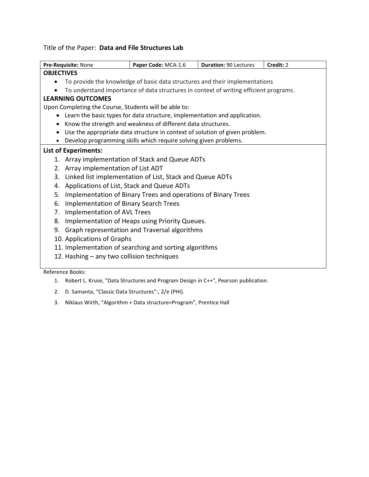## Title of the Paper: **Data and File Structures Lab**

| Pre-Requisite: None                                                                      | Paper Code: MCA-1.6                                                                   | <b>Duration: 90 Lectures</b> | Credit: 2 |  |
|------------------------------------------------------------------------------------------|---------------------------------------------------------------------------------------|------------------------------|-----------|--|
| <b>OBJECTIVES</b>                                                                        |                                                                                       |                              |           |  |
|                                                                                          | To provide the knowledge of basic data structures and their implementations           |                              |           |  |
|                                                                                          | To understand importance of data structures in context of writing efficient programs. |                              |           |  |
| <b>LEARNING OUTCOMES</b>                                                                 |                                                                                       |                              |           |  |
| Upon Completing the Course, Students will be able to:                                    |                                                                                       |                              |           |  |
| Learn the basic types for data structure, implementation and application.                |                                                                                       |                              |           |  |
| Know the strength and weakness of different data structures.<br>$\bullet$                |                                                                                       |                              |           |  |
| Use the appropriate data structure in context of solution of given problem.<br>$\bullet$ |                                                                                       |                              |           |  |
| Develop programming skills which require solving given problems.                         |                                                                                       |                              |           |  |
| <b>List of Experiments:</b>                                                              |                                                                                       |                              |           |  |
| 1. Array implementation of Stack and Queue ADTs                                          |                                                                                       |                              |           |  |
| Array implementation of List ADT<br>2.                                                   |                                                                                       |                              |           |  |
| 3.                                                                                       | Linked list implementation of List, Stack and Queue ADTs                              |                              |           |  |
| Applications of List, Stack and Queue ADTs<br>4.                                         |                                                                                       |                              |           |  |
| Implementation of Binary Trees and operations of Binary Trees<br>5.                      |                                                                                       |                              |           |  |
| Implementation of Binary Search Trees<br>6.                                              |                                                                                       |                              |           |  |
| Implementation of AVL Trees<br>7.                                                        |                                                                                       |                              |           |  |
| Implementation of Heaps using Priority Queues.<br>8.                                     |                                                                                       |                              |           |  |
| Graph representation and Traversal algorithms<br>9.                                      |                                                                                       |                              |           |  |
| 10. Applications of Graphs                                                               |                                                                                       |                              |           |  |
| 11. Implementation of searching and sorting algorithms                                   |                                                                                       |                              |           |  |
| 12. Hashing - any two collision techniques                                               |                                                                                       |                              |           |  |
|                                                                                          |                                                                                       |                              |           |  |
| Reference Books:                                                                         |                                                                                       |                              |           |  |

- 1. Robert L. Kruse, "Data Structures and Program Design in C++", Pearson publication.
- 2. D. Samanta, "Classic Data Structures":, 2/e (PHI).
- 3. Niklaus Wirth, "Algorithm + Data structure=Program", Prentice Hall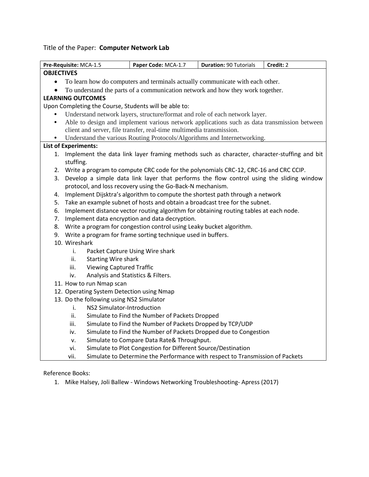# Title of the Paper: **Computer Network Lab**

| <b>OBJECTIVES</b><br>To learn how do computers and terminals actually communicate with each other.<br>$\bullet$<br>To understand the parts of a communication network and how they work together.<br>$\bullet$<br><b>LEARNING OUTCOMES</b><br>Upon Completing the Course, Students will be able to:<br>Understand network layers, structure/format and role of each network layer.<br>Able to design and implement various network applications such as data transmission between<br>$\bullet$<br>client and server, file transfer, real-time multimedia transmission.<br>Understand the various Routing Protocols/Algorithms and Internetworking.<br>$\bullet$<br><b>List of Experiments:</b><br>Implement the data link layer framing methods such as character, character-stuffing and bit<br>1.<br>stuffing.<br>2.<br>Write a program to compute CRC code for the polynomials CRC-12, CRC-16 and CRC CCIP.<br>Develop a simple data link layer that performs the flow control using the sliding window<br>3.<br>protocol, and loss recovery using the Go-Back-N mechanism.<br>Implement Dijsktra's algorithm to compute the shortest path through a network<br>4.<br>Take an example subnet of hosts and obtain a broadcast tree for the subnet.<br>5.<br>Implement distance vector routing algorithm for obtaining routing tables at each node.<br>6.<br>7. Implement data encryption and data decryption.<br>8. Write a program for congestion control using Leaky bucket algorithm.<br>9. Write a program for frame sorting technique used in buffers.<br>10. Wireshark<br>i.<br>Packet Capture Using Wire shark<br><b>Starting Wire shark</b><br>ii.<br><b>Viewing Captured Traffic</b><br>iii.<br>Analysis and Statistics & Filters.<br>iv.<br>11. How to run Nmap scan<br>12. Operating System Detection using Nmap<br>13. Do the following using NS2 Simulator<br>NS2 Simulator-Introduction<br>i.<br>ii.<br>Simulate to Find the Number of Packets Dropped<br>Simulate to Find the Number of Packets Dropped by TCP/UDP<br>iii.<br>Simulate to Find the Number of Packets Dropped due to Congestion<br>iv.<br>Simulate to Compare Data Rate& Throughput.<br>v.<br>Simulate to Plot Congestion for Different Source/Destination<br>vi.<br>Simulate to Determine the Performance with respect to Transmission of Packets | Pre-Requisite: MCA-1.5 |  | Paper Code: MCA-1.7 | <b>Duration: 90 Tutorials</b> | Credit: 2 |
|------------------------------------------------------------------------------------------------------------------------------------------------------------------------------------------------------------------------------------------------------------------------------------------------------------------------------------------------------------------------------------------------------------------------------------------------------------------------------------------------------------------------------------------------------------------------------------------------------------------------------------------------------------------------------------------------------------------------------------------------------------------------------------------------------------------------------------------------------------------------------------------------------------------------------------------------------------------------------------------------------------------------------------------------------------------------------------------------------------------------------------------------------------------------------------------------------------------------------------------------------------------------------------------------------------------------------------------------------------------------------------------------------------------------------------------------------------------------------------------------------------------------------------------------------------------------------------------------------------------------------------------------------------------------------------------------------------------------------------------------------------------------------------------------------------------------------------------------------------------------------------------------------------------------------------------------------------------------------------------------------------------------------------------------------------------------------------------------------------------------------------------------------------------------------------------------------------------------------------------------------------------------------------------------------------------------------------|------------------------|--|---------------------|-------------------------------|-----------|
|                                                                                                                                                                                                                                                                                                                                                                                                                                                                                                                                                                                                                                                                                                                                                                                                                                                                                                                                                                                                                                                                                                                                                                                                                                                                                                                                                                                                                                                                                                                                                                                                                                                                                                                                                                                                                                                                                                                                                                                                                                                                                                                                                                                                                                                                                                                                    |                        |  |                     |                               |           |
|                                                                                                                                                                                                                                                                                                                                                                                                                                                                                                                                                                                                                                                                                                                                                                                                                                                                                                                                                                                                                                                                                                                                                                                                                                                                                                                                                                                                                                                                                                                                                                                                                                                                                                                                                                                                                                                                                                                                                                                                                                                                                                                                                                                                                                                                                                                                    |                        |  |                     |                               |           |
|                                                                                                                                                                                                                                                                                                                                                                                                                                                                                                                                                                                                                                                                                                                                                                                                                                                                                                                                                                                                                                                                                                                                                                                                                                                                                                                                                                                                                                                                                                                                                                                                                                                                                                                                                                                                                                                                                                                                                                                                                                                                                                                                                                                                                                                                                                                                    |                        |  |                     |                               |           |
|                                                                                                                                                                                                                                                                                                                                                                                                                                                                                                                                                                                                                                                                                                                                                                                                                                                                                                                                                                                                                                                                                                                                                                                                                                                                                                                                                                                                                                                                                                                                                                                                                                                                                                                                                                                                                                                                                                                                                                                                                                                                                                                                                                                                                                                                                                                                    |                        |  |                     |                               |           |
|                                                                                                                                                                                                                                                                                                                                                                                                                                                                                                                                                                                                                                                                                                                                                                                                                                                                                                                                                                                                                                                                                                                                                                                                                                                                                                                                                                                                                                                                                                                                                                                                                                                                                                                                                                                                                                                                                                                                                                                                                                                                                                                                                                                                                                                                                                                                    |                        |  |                     |                               |           |
|                                                                                                                                                                                                                                                                                                                                                                                                                                                                                                                                                                                                                                                                                                                                                                                                                                                                                                                                                                                                                                                                                                                                                                                                                                                                                                                                                                                                                                                                                                                                                                                                                                                                                                                                                                                                                                                                                                                                                                                                                                                                                                                                                                                                                                                                                                                                    |                        |  |                     |                               |           |
|                                                                                                                                                                                                                                                                                                                                                                                                                                                                                                                                                                                                                                                                                                                                                                                                                                                                                                                                                                                                                                                                                                                                                                                                                                                                                                                                                                                                                                                                                                                                                                                                                                                                                                                                                                                                                                                                                                                                                                                                                                                                                                                                                                                                                                                                                                                                    |                        |  |                     |                               |           |
|                                                                                                                                                                                                                                                                                                                                                                                                                                                                                                                                                                                                                                                                                                                                                                                                                                                                                                                                                                                                                                                                                                                                                                                                                                                                                                                                                                                                                                                                                                                                                                                                                                                                                                                                                                                                                                                                                                                                                                                                                                                                                                                                                                                                                                                                                                                                    |                        |  |                     |                               |           |
|                                                                                                                                                                                                                                                                                                                                                                                                                                                                                                                                                                                                                                                                                                                                                                                                                                                                                                                                                                                                                                                                                                                                                                                                                                                                                                                                                                                                                                                                                                                                                                                                                                                                                                                                                                                                                                                                                                                                                                                                                                                                                                                                                                                                                                                                                                                                    |                        |  |                     |                               |           |
|                                                                                                                                                                                                                                                                                                                                                                                                                                                                                                                                                                                                                                                                                                                                                                                                                                                                                                                                                                                                                                                                                                                                                                                                                                                                                                                                                                                                                                                                                                                                                                                                                                                                                                                                                                                                                                                                                                                                                                                                                                                                                                                                                                                                                                                                                                                                    |                        |  |                     |                               |           |
|                                                                                                                                                                                                                                                                                                                                                                                                                                                                                                                                                                                                                                                                                                                                                                                                                                                                                                                                                                                                                                                                                                                                                                                                                                                                                                                                                                                                                                                                                                                                                                                                                                                                                                                                                                                                                                                                                                                                                                                                                                                                                                                                                                                                                                                                                                                                    |                        |  |                     |                               |           |
|                                                                                                                                                                                                                                                                                                                                                                                                                                                                                                                                                                                                                                                                                                                                                                                                                                                                                                                                                                                                                                                                                                                                                                                                                                                                                                                                                                                                                                                                                                                                                                                                                                                                                                                                                                                                                                                                                                                                                                                                                                                                                                                                                                                                                                                                                                                                    |                        |  |                     |                               |           |
|                                                                                                                                                                                                                                                                                                                                                                                                                                                                                                                                                                                                                                                                                                                                                                                                                                                                                                                                                                                                                                                                                                                                                                                                                                                                                                                                                                                                                                                                                                                                                                                                                                                                                                                                                                                                                                                                                                                                                                                                                                                                                                                                                                                                                                                                                                                                    |                        |  |                     |                               |           |
|                                                                                                                                                                                                                                                                                                                                                                                                                                                                                                                                                                                                                                                                                                                                                                                                                                                                                                                                                                                                                                                                                                                                                                                                                                                                                                                                                                                                                                                                                                                                                                                                                                                                                                                                                                                                                                                                                                                                                                                                                                                                                                                                                                                                                                                                                                                                    |                        |  |                     |                               |           |
|                                                                                                                                                                                                                                                                                                                                                                                                                                                                                                                                                                                                                                                                                                                                                                                                                                                                                                                                                                                                                                                                                                                                                                                                                                                                                                                                                                                                                                                                                                                                                                                                                                                                                                                                                                                                                                                                                                                                                                                                                                                                                                                                                                                                                                                                                                                                    |                        |  |                     |                               |           |
|                                                                                                                                                                                                                                                                                                                                                                                                                                                                                                                                                                                                                                                                                                                                                                                                                                                                                                                                                                                                                                                                                                                                                                                                                                                                                                                                                                                                                                                                                                                                                                                                                                                                                                                                                                                                                                                                                                                                                                                                                                                                                                                                                                                                                                                                                                                                    |                        |  |                     |                               |           |
|                                                                                                                                                                                                                                                                                                                                                                                                                                                                                                                                                                                                                                                                                                                                                                                                                                                                                                                                                                                                                                                                                                                                                                                                                                                                                                                                                                                                                                                                                                                                                                                                                                                                                                                                                                                                                                                                                                                                                                                                                                                                                                                                                                                                                                                                                                                                    |                        |  |                     |                               |           |
|                                                                                                                                                                                                                                                                                                                                                                                                                                                                                                                                                                                                                                                                                                                                                                                                                                                                                                                                                                                                                                                                                                                                                                                                                                                                                                                                                                                                                                                                                                                                                                                                                                                                                                                                                                                                                                                                                                                                                                                                                                                                                                                                                                                                                                                                                                                                    |                        |  |                     |                               |           |
|                                                                                                                                                                                                                                                                                                                                                                                                                                                                                                                                                                                                                                                                                                                                                                                                                                                                                                                                                                                                                                                                                                                                                                                                                                                                                                                                                                                                                                                                                                                                                                                                                                                                                                                                                                                                                                                                                                                                                                                                                                                                                                                                                                                                                                                                                                                                    |                        |  |                     |                               |           |
|                                                                                                                                                                                                                                                                                                                                                                                                                                                                                                                                                                                                                                                                                                                                                                                                                                                                                                                                                                                                                                                                                                                                                                                                                                                                                                                                                                                                                                                                                                                                                                                                                                                                                                                                                                                                                                                                                                                                                                                                                                                                                                                                                                                                                                                                                                                                    |                        |  |                     |                               |           |
|                                                                                                                                                                                                                                                                                                                                                                                                                                                                                                                                                                                                                                                                                                                                                                                                                                                                                                                                                                                                                                                                                                                                                                                                                                                                                                                                                                                                                                                                                                                                                                                                                                                                                                                                                                                                                                                                                                                                                                                                                                                                                                                                                                                                                                                                                                                                    |                        |  |                     |                               |           |
|                                                                                                                                                                                                                                                                                                                                                                                                                                                                                                                                                                                                                                                                                                                                                                                                                                                                                                                                                                                                                                                                                                                                                                                                                                                                                                                                                                                                                                                                                                                                                                                                                                                                                                                                                                                                                                                                                                                                                                                                                                                                                                                                                                                                                                                                                                                                    |                        |  |                     |                               |           |
|                                                                                                                                                                                                                                                                                                                                                                                                                                                                                                                                                                                                                                                                                                                                                                                                                                                                                                                                                                                                                                                                                                                                                                                                                                                                                                                                                                                                                                                                                                                                                                                                                                                                                                                                                                                                                                                                                                                                                                                                                                                                                                                                                                                                                                                                                                                                    |                        |  |                     |                               |           |
|                                                                                                                                                                                                                                                                                                                                                                                                                                                                                                                                                                                                                                                                                                                                                                                                                                                                                                                                                                                                                                                                                                                                                                                                                                                                                                                                                                                                                                                                                                                                                                                                                                                                                                                                                                                                                                                                                                                                                                                                                                                                                                                                                                                                                                                                                                                                    |                        |  |                     |                               |           |
|                                                                                                                                                                                                                                                                                                                                                                                                                                                                                                                                                                                                                                                                                                                                                                                                                                                                                                                                                                                                                                                                                                                                                                                                                                                                                                                                                                                                                                                                                                                                                                                                                                                                                                                                                                                                                                                                                                                                                                                                                                                                                                                                                                                                                                                                                                                                    |                        |  |                     |                               |           |
|                                                                                                                                                                                                                                                                                                                                                                                                                                                                                                                                                                                                                                                                                                                                                                                                                                                                                                                                                                                                                                                                                                                                                                                                                                                                                                                                                                                                                                                                                                                                                                                                                                                                                                                                                                                                                                                                                                                                                                                                                                                                                                                                                                                                                                                                                                                                    |                        |  |                     |                               |           |
|                                                                                                                                                                                                                                                                                                                                                                                                                                                                                                                                                                                                                                                                                                                                                                                                                                                                                                                                                                                                                                                                                                                                                                                                                                                                                                                                                                                                                                                                                                                                                                                                                                                                                                                                                                                                                                                                                                                                                                                                                                                                                                                                                                                                                                                                                                                                    |                        |  |                     |                               |           |
|                                                                                                                                                                                                                                                                                                                                                                                                                                                                                                                                                                                                                                                                                                                                                                                                                                                                                                                                                                                                                                                                                                                                                                                                                                                                                                                                                                                                                                                                                                                                                                                                                                                                                                                                                                                                                                                                                                                                                                                                                                                                                                                                                                                                                                                                                                                                    |                        |  |                     |                               |           |
|                                                                                                                                                                                                                                                                                                                                                                                                                                                                                                                                                                                                                                                                                                                                                                                                                                                                                                                                                                                                                                                                                                                                                                                                                                                                                                                                                                                                                                                                                                                                                                                                                                                                                                                                                                                                                                                                                                                                                                                                                                                                                                                                                                                                                                                                                                                                    |                        |  |                     |                               |           |
|                                                                                                                                                                                                                                                                                                                                                                                                                                                                                                                                                                                                                                                                                                                                                                                                                                                                                                                                                                                                                                                                                                                                                                                                                                                                                                                                                                                                                                                                                                                                                                                                                                                                                                                                                                                                                                                                                                                                                                                                                                                                                                                                                                                                                                                                                                                                    |                        |  |                     |                               |           |
|                                                                                                                                                                                                                                                                                                                                                                                                                                                                                                                                                                                                                                                                                                                                                                                                                                                                                                                                                                                                                                                                                                                                                                                                                                                                                                                                                                                                                                                                                                                                                                                                                                                                                                                                                                                                                                                                                                                                                                                                                                                                                                                                                                                                                                                                                                                                    |                        |  |                     |                               |           |
|                                                                                                                                                                                                                                                                                                                                                                                                                                                                                                                                                                                                                                                                                                                                                                                                                                                                                                                                                                                                                                                                                                                                                                                                                                                                                                                                                                                                                                                                                                                                                                                                                                                                                                                                                                                                                                                                                                                                                                                                                                                                                                                                                                                                                                                                                                                                    |                        |  |                     |                               |           |
|                                                                                                                                                                                                                                                                                                                                                                                                                                                                                                                                                                                                                                                                                                                                                                                                                                                                                                                                                                                                                                                                                                                                                                                                                                                                                                                                                                                                                                                                                                                                                                                                                                                                                                                                                                                                                                                                                                                                                                                                                                                                                                                                                                                                                                                                                                                                    |                        |  |                     |                               |           |
|                                                                                                                                                                                                                                                                                                                                                                                                                                                                                                                                                                                                                                                                                                                                                                                                                                                                                                                                                                                                                                                                                                                                                                                                                                                                                                                                                                                                                                                                                                                                                                                                                                                                                                                                                                                                                                                                                                                                                                                                                                                                                                                                                                                                                                                                                                                                    |                        |  |                     |                               |           |
|                                                                                                                                                                                                                                                                                                                                                                                                                                                                                                                                                                                                                                                                                                                                                                                                                                                                                                                                                                                                                                                                                                                                                                                                                                                                                                                                                                                                                                                                                                                                                                                                                                                                                                                                                                                                                                                                                                                                                                                                                                                                                                                                                                                                                                                                                                                                    | vii.                   |  |                     |                               |           |

Reference Books:

1. Mike Halsey, Joli Ballew - Windows Networking Troubleshooting- Apress (2017)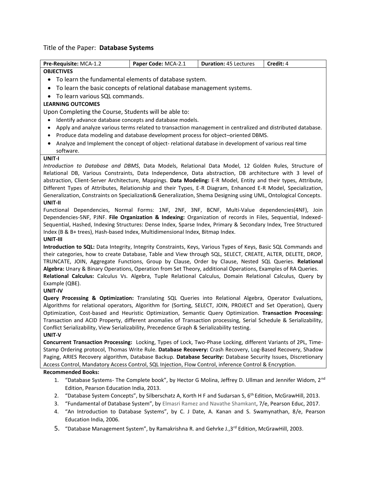## Title of the Paper: **Database Systems**

| Pre-Requisite: MCA-1.2                                                                                          | Paper Code: MCA-2.1 | <b>Duration: 45 Lectures</b> | Credit: 4 |  |
|-----------------------------------------------------------------------------------------------------------------|---------------------|------------------------------|-----------|--|
| <b>OBJECTIVES</b>                                                                                               |                     |                              |           |  |
| To learn the fundamental elements of database system.                                                           |                     |                              |           |  |
| To learn the basic concepts of relational database management systems.<br>$\bullet$                             |                     |                              |           |  |
| To learn various SQL commands.                                                                                  |                     |                              |           |  |
| <b>LEARNING OUTCOMES</b>                                                                                        |                     |                              |           |  |
| Upon Completing the Course, Students will be able to:                                                           |                     |                              |           |  |
| Identify advance database concepts and database models.<br>$\bullet$                                            |                     |                              |           |  |
| Apply and analyze various terms related to transaction management in centralized and distributed database.<br>٠ |                     |                              |           |  |
| Produce data modeling and database development process for object-oriented DBMS.<br>٠                           |                     |                              |           |  |
| Analyze and Implement the concept of object-relational database in development of various real time             |                     |                              |           |  |
| software.                                                                                                       |                     |                              |           |  |
| UNIT-I                                                                                                          |                     |                              |           |  |
| Introduction to Database and DBMS, Data Models, Relational Data Model, 12 Golden Rules, Structure of            |                     |                              |           |  |
| Relational DB, Various Constraints, Data Independence, Data abstraction, DB architecture with 3 level of        |                     |                              |           |  |
| abstraction, Client-Server Architecture, Mappings. Data Modeling: E-R Model, Entity and their types, Attribute, |                     |                              |           |  |
| Different Types of Attributes, Relationship and their Types, E-R Diagram, Enhanced E-R Model, Specialization,   |                     |                              |           |  |
| Generalization, Constraints on Specialization& Generalization, Shema Designing using UML, Ontological Concepts. |                     |                              |           |  |

#### **UNIT-II**

Functional Dependencies, Normal Forms: 1NF, 2NF, 3NF, BCNF, Multi-Value dependencies(4NF), Join Dependencies-5NF, PJNF. **File Organization & Indexing:** Organization of records in Files, Sequential, Indexed-Sequential, Hashed, Indexing Structures: Dense Index, Sparse Index, Primary & Secondary Index, Tree Structured Index (B & B+ trees), Hash-based Index, Multidimensional Index, Bitmap Index.

#### **UNIT-III**

**Introduction to SQL:** Data Integrity, Integrity Constraints, Keys, Various Types of Keys, Basic SQL Commands and their categories, how to create Database, Table and View through SQL, SELECT, CREATE, ALTER, DELETE, DROP, TRUNCATE, JOIN, Aggregate Functions, Group by Clause, Order by Clause, Nested SQL Queries. **Relational Algebra:** Unary & Binary Operations, Operation from Set Theory, additional Operations, Examples of RA Queries. **Relational Calculus:** Calculus Vs. Algebra, Tuple Relational Calculus, Domain Relational Calculus, Query by Example (QBE).

#### **UNIT-IV**

**Query Processing & Optimization:** Translating SQL Queries into Relational Algebra, Operator Evaluations, Algorithms for relational operators, Algorithm for (Sorting, SELECT, JOIN, PROJECT and Set Operation), Query Optimization, Cost-based and Heuristic Optimization, Semantic Query Optimization. **Transaction Processing:**  Transaction and ACID Property, different anomalies of Transaction processing, Serial Schedule & Serializability, Conflict Serializability, View Serializability, Precedence Graph & Serializability testing.

## **UNIT-V**

**Concurrent Transaction Processing:** Locking, Types of Lock, Two-Phase Locking, different Variants of 2PL, Time-Stamp Ordering protocol, Thomas Write Rule. **Database Recovery:** Crash Recovery, Log-Based Recovery, Shadow Paging, ARIES Recovery algorithm, Database Backup. **Database Security:** Database Security Issues, Discretionary Access Control, Mandatory Access Control, SQL Injection, Flow Control, inference Control & Encryption.

- 1. "Database Systems- The Complete book", by Hector G Molina, Jeffrey D. Ullman and Jennifer Widom, 2<sup>nd</sup> Edition, Pearson Education India, 2013.
- 2. "Database System Concepts", by Silberschatz A, Korth H F and Sudarsan S, 6<sup>th</sup> Edition, McGrawHill, 2013.
- 3. "Fundamental of Database System", by Elmasri Ramez and Navathe Shamkant, 7/e, Pearson Educ, 2017.
- 4. "An Introduction to Database Systems", by C. J Date, A. Kanan and S. Swamynathan, 8/e, Pearson Education India, 2006.
- 5. "Database Management System", by Ramakrishna R. and Gehrke J.,3<sup>rd</sup> Edition, McGrawHill, 2003.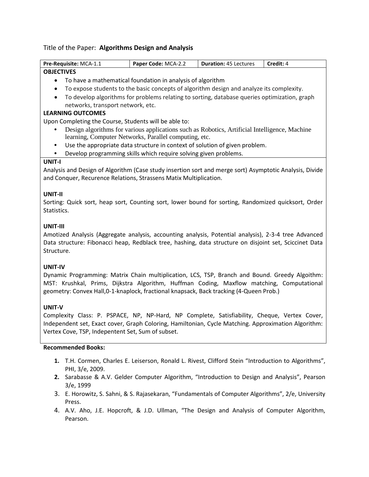## Title of the Paper: **Algorithms Design and Analysis**

| Pre-Requisite: MCA-1.1                                                                                  | Paper Code: MCA-2.2                                                                           | <b>Duration: 45 Lectures</b> | Credit: 4 |  |
|---------------------------------------------------------------------------------------------------------|-----------------------------------------------------------------------------------------------|------------------------------|-----------|--|
| <b>OBJECTIVES</b>                                                                                       |                                                                                               |                              |           |  |
| $\bullet$                                                                                               | To have a mathematical foundation in analysis of algorithm                                    |                              |           |  |
| ٠                                                                                                       | To expose students to the basic concepts of algorithm design and analyze its complexity.      |                              |           |  |
| $\bullet$                                                                                               | To develop algorithms for problems relating to sorting, database queries optimization, graph  |                              |           |  |
| networks, transport network, etc.                                                                       |                                                                                               |                              |           |  |
| <b>LEARNING OUTCOMES</b>                                                                                |                                                                                               |                              |           |  |
| Upon Completing the Course, Students will be able to:                                                   |                                                                                               |                              |           |  |
|                                                                                                         | Design algorithms for various applications such as Robotics, Artificial Intelligence, Machine |                              |           |  |
|                                                                                                         | learning, Computer Networks, Parallel computing, etc.                                         |                              |           |  |
| $\bullet$                                                                                               | Use the appropriate data structure in context of solution of given problem.                   |                              |           |  |
|                                                                                                         | Develop programming skills which require solving given problems.                              |                              |           |  |
| <b>UNIT-I</b>                                                                                           |                                                                                               |                              |           |  |
| Analysis and Design of Algorithm (Case study insertion sort and merge sort) Asymptotic Analysis, Divide |                                                                                               |                              |           |  |
| and Conquer, Recurence Relations, Strassens Matix Multiplication.                                       |                                                                                               |                              |           |  |
|                                                                                                         |                                                                                               |                              |           |  |
| UNIT-II                                                                                                 |                                                                                               |                              |           |  |
| Sorting: Quick sort, heap sort, Counting sort, lower bound for sorting, Randomized quicksort, Order     |                                                                                               |                              |           |  |
| Statistics.                                                                                             |                                                                                               |                              |           |  |
|                                                                                                         |                                                                                               |                              |           |  |
| UNIT-III                                                                                                |                                                                                               |                              |           |  |
| Amotized Analysis (Aggregate analysis, accounting analysis, Potential analysis), 2-3-4 tree Advanced    |                                                                                               |                              |           |  |
| Data structure: Fibonacci heap, Redblack tree, hashing, data structure on disjoint set, Sciccinet Data  |                                                                                               |                              |           |  |
| Structure.                                                                                              |                                                                                               |                              |           |  |
|                                                                                                         |                                                                                               |                              |           |  |
| <b>UNIT-IV</b>                                                                                          |                                                                                               |                              |           |  |
| Dynamic Programming: Matrix Chain multiplication, LCS, TSP, Branch and Bound. Greedy Algoithm:          |                                                                                               |                              |           |  |
| MST: Krushkal, Prims, Dijkstra Algorithm, Huffman Coding, Maxflow matching, Computational               |                                                                                               |                              |           |  |
| geometry: Convex Hall, 0-1-knaplock, fractional knapsack, Back tracking (4-Queen Prob.)                 |                                                                                               |                              |           |  |
|                                                                                                         |                                                                                               |                              |           |  |
| <b>UNIT-V</b>                                                                                           |                                                                                               |                              |           |  |
| Complexity Class: P. PSPACE, NP, NP-Hard, NP Complete, Satisfiability, Cheque, Vertex Cover,            |                                                                                               |                              |           |  |
| Independent set, Exact cover, Graph Coloring, Hamiltonian, Cycle Matching. Approximation Algorithm:     |                                                                                               |                              |           |  |
| Vertex Cove, TSP, Indepentent Set, Sum of subset.                                                       |                                                                                               |                              |           |  |

- **1.** T.H. Cormen, Charles E. Leiserson, Ronald L. Rivest, Clifford Stein "Introduction to Algorithms", PHI, 3/e, 2009.
- **2.** Sarabasse & A.V. Gelder Computer Algorithm, "Introduction to Design and Analysis", Pearson 3/e, 1999
- 3. E. Horowitz, S. Sahni, & S. Rajasekaran, "Fundamentals of Computer Algorithms", 2/e, University Press.
- 4. A.V. Aho, J.E. Hopcroft, & J.D. Ullman, "The Design and Analysis of Computer Algorithm, Pearson.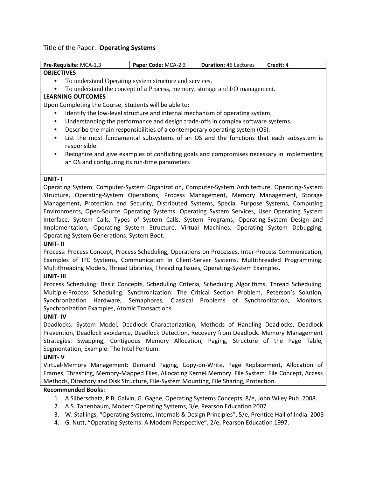## Title of the Paper: **Operating Systems**

| Pre-Requisite: MCA-1.3                                                                                                                                                                                                                                                                                                                                                                           | Paper Code: MCA-2.3                                    | <b>Duration: 45 Lectures</b>                                                                                                                                           | Credit: 4 |
|--------------------------------------------------------------------------------------------------------------------------------------------------------------------------------------------------------------------------------------------------------------------------------------------------------------------------------------------------------------------------------------------------|--------------------------------------------------------|------------------------------------------------------------------------------------------------------------------------------------------------------------------------|-----------|
| <b>OBJECTIVES</b>                                                                                                                                                                                                                                                                                                                                                                                |                                                        |                                                                                                                                                                        |           |
| $\bullet$                                                                                                                                                                                                                                                                                                                                                                                        | To understand Operating system structure and services. |                                                                                                                                                                        |           |
| $\bullet$                                                                                                                                                                                                                                                                                                                                                                                        |                                                        | To understand the concept of a Process, memory, storage and I/O management.                                                                                            |           |
| <b>LEARNING OUTCOMES</b>                                                                                                                                                                                                                                                                                                                                                                         |                                                        |                                                                                                                                                                        |           |
| Upon Completing the Course, Students will be able to:                                                                                                                                                                                                                                                                                                                                            |                                                        |                                                                                                                                                                        |           |
|                                                                                                                                                                                                                                                                                                                                                                                                  |                                                        | Identify the low-level structure and internal mechanism of operating system.                                                                                           |           |
| $\bullet$                                                                                                                                                                                                                                                                                                                                                                                        |                                                        | Understanding the performance and design trade-offs in complex software systems.                                                                                       |           |
| $\bullet$                                                                                                                                                                                                                                                                                                                                                                                        |                                                        | Describe the main responsibilities of a contemporary operating system (OS).                                                                                            |           |
| $\bullet$                                                                                                                                                                                                                                                                                                                                                                                        |                                                        | List the most fundamental subsystems of an OS and the functions that each subsystem is                                                                                 |           |
| responsible.                                                                                                                                                                                                                                                                                                                                                                                     |                                                        |                                                                                                                                                                        |           |
| $\bullet$                                                                                                                                                                                                                                                                                                                                                                                        |                                                        | Recognize and give examples of conflicting goals and compromises necessary in implementing                                                                             |           |
| an OS and configuring its run-time parameters                                                                                                                                                                                                                                                                                                                                                    |                                                        |                                                                                                                                                                        |           |
|                                                                                                                                                                                                                                                                                                                                                                                                  |                                                        |                                                                                                                                                                        |           |
| UNIT-I                                                                                                                                                                                                                                                                                                                                                                                           |                                                        |                                                                                                                                                                        |           |
| Operating System, Computer-System Organization, Computer-System Architecture, Operating-System                                                                                                                                                                                                                                                                                                   |                                                        |                                                                                                                                                                        |           |
| Structure, Operating-System Operations, Process Management, Memory Management, Storage                                                                                                                                                                                                                                                                                                           |                                                        |                                                                                                                                                                        |           |
| Management, Protection and Security, Distributed Systems, Special Purpose Systems, Computing                                                                                                                                                                                                                                                                                                     |                                                        |                                                                                                                                                                        |           |
| Environments, Open-Source Operating Systems. Operating System Services, User Operating System                                                                                                                                                                                                                                                                                                    |                                                        |                                                                                                                                                                        |           |
| Interface, System Calls, Types of System Calls, System Programs, Operating-System Design and                                                                                                                                                                                                                                                                                                     |                                                        |                                                                                                                                                                        |           |
| Implementation, Operating System Structure, Virtual Machines, Operating System Debugging,                                                                                                                                                                                                                                                                                                        |                                                        |                                                                                                                                                                        |           |
| Operating System Generations. System Boot.                                                                                                                                                                                                                                                                                                                                                       |                                                        |                                                                                                                                                                        |           |
| UNIT- II                                                                                                                                                                                                                                                                                                                                                                                         |                                                        |                                                                                                                                                                        |           |
| Process: Process Concept, Process Scheduling, Operations on Processes, Inter-Process Communication,                                                                                                                                                                                                                                                                                              |                                                        |                                                                                                                                                                        |           |
| Examples of IPC Systems, Communication in Client-Server Systems. Multithreaded Programming:                                                                                                                                                                                                                                                                                                      |                                                        |                                                                                                                                                                        |           |
| Multithreading Models, Thread Libraries, Threading Issues, Operating-System Examples.                                                                                                                                                                                                                                                                                                            |                                                        |                                                                                                                                                                        |           |
| UNIT-III                                                                                                                                                                                                                                                                                                                                                                                         |                                                        |                                                                                                                                                                        |           |
| Process Scheduling: Basic Concepts, Scheduling Criteria, Scheduling Algorithms, Thread Scheduling.                                                                                                                                                                                                                                                                                               |                                                        |                                                                                                                                                                        |           |
| Multiple-Process Scheduling. Synchronization: The Critical Section Problem, Peterson's Solution,                                                                                                                                                                                                                                                                                                 |                                                        |                                                                                                                                                                        |           |
| Synchronization                                                                                                                                                                                                                                                                                                                                                                                  |                                                        | Hardware, Semaphores, Classical Problems of Synchronization,                                                                                                           | Monitors, |
| Synchronization Examples, Atomic Transactions.                                                                                                                                                                                                                                                                                                                                                   |                                                        |                                                                                                                                                                        |           |
| <b>UNIT-IV</b>                                                                                                                                                                                                                                                                                                                                                                                   |                                                        |                                                                                                                                                                        |           |
| Deadlocks: System Model, Deadlock Characterization, Methods of Handling Deadlocks, Deadlock                                                                                                                                                                                                                                                                                                      |                                                        |                                                                                                                                                                        |           |
| Prevention, Deadlock avoidance, Deadlock Detection, Recovery from Deadlock. Memory Management                                                                                                                                                                                                                                                                                                    |                                                        |                                                                                                                                                                        |           |
| Strategies: Swapping, Contiguous Memory Allocation, Paging, Structure of the Page Table,                                                                                                                                                                                                                                                                                                         |                                                        |                                                                                                                                                                        |           |
|                                                                                                                                                                                                                                                                                                                                                                                                  |                                                        |                                                                                                                                                                        |           |
|                                                                                                                                                                                                                                                                                                                                                                                                  |                                                        |                                                                                                                                                                        |           |
|                                                                                                                                                                                                                                                                                                                                                                                                  |                                                        |                                                                                                                                                                        |           |
|                                                                                                                                                                                                                                                                                                                                                                                                  |                                                        |                                                                                                                                                                        |           |
|                                                                                                                                                                                                                                                                                                                                                                                                  |                                                        |                                                                                                                                                                        |           |
|                                                                                                                                                                                                                                                                                                                                                                                                  |                                                        |                                                                                                                                                                        |           |
|                                                                                                                                                                                                                                                                                                                                                                                                  |                                                        |                                                                                                                                                                        |           |
| Segmentation, Example: The Intel Pentium.<br><b>UNIT-V</b><br>Virtual-Memory Management: Demand Paging, Copy-on-Write, Page Replacement, Allocation of<br>Frames, Thrashing, Memory-Mapped Files, Allocating Kernel Memory. File System: File Concept, Access<br>Methods, Directory and Disk Structure, File-System Mounting, File Sharing, Protection.<br><b>Recommended Books:</b><br>1.<br>2. |                                                        | A Silberschatz, P.B. Galvin, G. Gagne, Operating Systems Concepts, 8/e, John Wiley Pub. 2008.<br>A.S. Tanenbaum, Modern Operating Systems, 3/e, Pearson Education 2007 |           |

- 3. W. Stallings, "Operating Systems, Internals & Design Principles", 5/e, Prentice Hall of India. 2008
- 4. G. Nutt, "Operating Systems: A Modern Perspective", 2/e, Pearson Education 1997.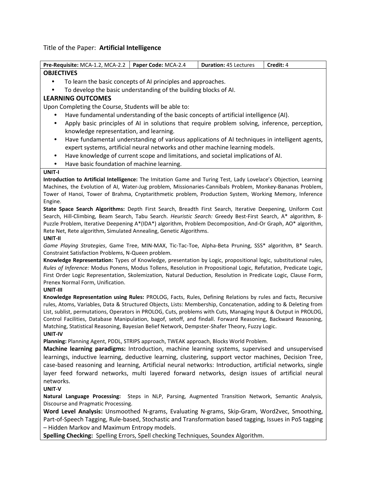## Title of the Paper: **Artificial Intelligence**

| Pre-Requisite: MCA-1.2, MCA-2.2                                                                                                                                                                                             | Paper Code: MCA-2.4 | <b>Duration: 45 Lectures</b> | Credit: 4 |  |
|-----------------------------------------------------------------------------------------------------------------------------------------------------------------------------------------------------------------------------|---------------------|------------------------------|-----------|--|
| <b>OBJECTIVES</b>                                                                                                                                                                                                           |                     |                              |           |  |
| To learn the basic concepts of AI principles and approaches.                                                                                                                                                                |                     |                              |           |  |
| To develop the basic understanding of the building blocks of AI.                                                                                                                                                            |                     |                              |           |  |
| <b>LEARNING OUTCOMES</b>                                                                                                                                                                                                    |                     |                              |           |  |
| Upon Completing the Course, Students will be able to:                                                                                                                                                                       |                     |                              |           |  |
| Have fundamental understanding of the basic concepts of artificial intelligence (AI).                                                                                                                                       |                     |                              |           |  |
| Apply basic principles of AI in solutions that require problem solving, inference, perception,<br>$\bullet$                                                                                                                 |                     |                              |           |  |
| knowledge representation, and learning.                                                                                                                                                                                     |                     |                              |           |  |
| Have fundamental understanding of various applications of AI techniques in intelligent agents,<br>$\bullet$                                                                                                                 |                     |                              |           |  |
| expert systems, artificial neural networks and other machine learning models.                                                                                                                                               |                     |                              |           |  |
| Have knowledge of current scope and limitations, and societal implications of AI.<br>$\bullet$                                                                                                                              |                     |                              |           |  |
| Have basic foundation of machine learning.<br>٠                                                                                                                                                                             |                     |                              |           |  |
| UNIT-I                                                                                                                                                                                                                      |                     |                              |           |  |
| Introduction to Artificial Intelligence: The Imitation Game and Turing Test, Lady Lovelace's Objection, Learning                                                                                                            |                     |                              |           |  |
| Machines, the Evolution of AI, Water-Jug problem, Missionaries-Cannibals Problem, Monkey-Bananas Problem,                                                                                                                   |                     |                              |           |  |
| Tower of Hanoi, Tower of Brahma, Cryptarithmetic problem, Production System, Working Memory, Inference                                                                                                                      |                     |                              |           |  |
| Engine.                                                                                                                                                                                                                     |                     |                              |           |  |
| State Space Search Algorithms: Depth First Search, Breadth First Search, Iterative Deepening, Uniform Cost<br>Search, Hill-Climbing, Beam Search, Tabu Search. Heuristic Search: Greedy Best-First Search, A* algorithm, 8- |                     |                              |           |  |
| Puzzle Problem, Iterative Deepening A*(IDA*) algorithm, Problem Decomposition, And-Or Graph, AO* algorithm,                                                                                                                 |                     |                              |           |  |
| Rete Net, Rete algorithm, Simulated Annealing, Genetic Algorithms.                                                                                                                                                          |                     |                              |           |  |
| UNIT-II                                                                                                                                                                                                                     |                     |                              |           |  |
| Game Playing Strategies, Game Tree, MIN-MAX, Tic-Tac-Toe, Alpha-Beta Pruning, SSS* algorithm, B* Search.                                                                                                                    |                     |                              |           |  |
| Constraint Satisfaction Problems, N-Queen problem.                                                                                                                                                                          |                     |                              |           |  |
| Knowledge Representation: Types of Knowledge, presentation by Logic, propositional logic, substitutional rules,                                                                                                             |                     |                              |           |  |
| Rules of Inference: Modus Ponens, Modus Tollens, Resolution in Propositional Logic, Refutation, Predicate Logic,                                                                                                            |                     |                              |           |  |
| First Order Logic Representation, Skolemization, Natural Deduction, Resolution in Predicate Logic, Clause Form,<br>Prenex Normal Form, Unification.                                                                         |                     |                              |           |  |
| UNIT-III                                                                                                                                                                                                                    |                     |                              |           |  |
| Knowledge Representation using Rules: PROLOG, Facts, Rules, Defining Relations by rules and facts, Recursive                                                                                                                |                     |                              |           |  |
| rules, Atoms, Variables, Data & Structured Objects, Lists: Membership, Concatenation, adding to & Deleting from                                                                                                             |                     |                              |           |  |
| List, sublist, permutations, Operators in PROLOG, Cuts, problems with Cuts, Managing Input & Output in PROLOG,                                                                                                              |                     |                              |           |  |
| Control Facilities, Database Manipulation, bagof, setoff, and findall. Forward Reasoning, Backward Reasoning,                                                                                                               |                     |                              |           |  |
| Matching, Statistical Reasoning, Bayesian Belief Network, Dempster-Shafer Theory, Fuzzy Logic.                                                                                                                              |                     |                              |           |  |
| UNIT-IV                                                                                                                                                                                                                     |                     |                              |           |  |
| Planning: Planning Agent, PDDL, STRIPS approach, TWEAK approach, Blocks World Problem.                                                                                                                                      |                     |                              |           |  |
| Machine learning paradigms: Introduction, machine learning systems, supervised and unsupervised                                                                                                                             |                     |                              |           |  |
| learnings, inductive learning, deductive learning, clustering, support vector machines, Decision Tree,<br>case-based reasoning and learning, Artificial neural networks: Introduction, artificial networks, single          |                     |                              |           |  |
| layer feed forward networks, multi layered forward networks, design issues of artificial neural                                                                                                                             |                     |                              |           |  |
| networks.                                                                                                                                                                                                                   |                     |                              |           |  |
| UNIT-V                                                                                                                                                                                                                      |                     |                              |           |  |
| Natural Language Processing: Steps in NLP, Parsing, Augmented Transition Network, Semantic Analysis,                                                                                                                        |                     |                              |           |  |
| Discourse and Pragmatic Processing.                                                                                                                                                                                         |                     |                              |           |  |
| Word Level Analysis: Unsmoothed N-grams, Evaluating N-grams, Skip-Gram, Word2vec, Smoothing,                                                                                                                                |                     |                              |           |  |

Part-of-Speech Tagging, Rule-based, Stochastic and Transformation based tagging, Issues in PoS tagging – Hidden Markov and Maximum Entropy models.

**Spelling Checking:** Spelling Errors, Spell checking Techniques, Soundex Algorithm.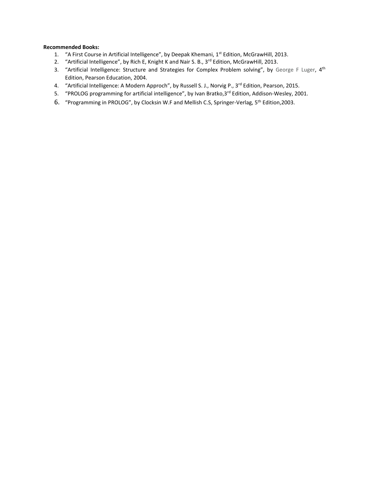- 1. "A First Course in Artificial Intelligence", by Deepak Khemani, 1st Edition, McGrawHill, 2013.
- 2. "Artificial Intelligence", by Rich E, Knight K and Nair S. B., 3<sup>rd</sup> Edition, McGrawHill, 2013.
- 3. "Artificial Intelligence: Structure and Strategies for Complex Problem solving", by George F Luger, 4<sup>th</sup> Edition, Pearson Education, 2004.
- 4. "Artificial Intelligence: A Modern Approch", by Russell S. J., Norvig P., 3<sup>rd</sup> Edition, Pearson, 2015.
- 5. "PROLOG programming for artificial intelligence", by Ivan Bratko, 3rd Edition, Addison-Wesley, 2001.
- 6. "Programming in PROLOG", by Clocksin W.F and Mellish C.S, Springer-Verlag, 5th Edition,2003.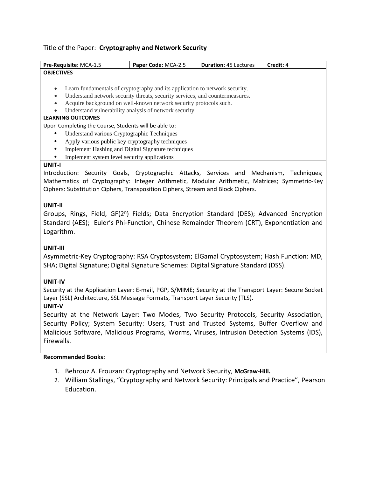## Title of the Paper: **Cryptography and Network Security**

| Pre-Requisite: MCA-1.5                                                                       | Paper Code: MCA-2.5                                                                         | <b>Duration: 45 Lectures</b> | Credit: 4 |
|----------------------------------------------------------------------------------------------|---------------------------------------------------------------------------------------------|------------------------------|-----------|
| <b>OBJECTIVES</b>                                                                            |                                                                                             |                              |           |
|                                                                                              |                                                                                             |                              |           |
|                                                                                              | Learn fundamentals of cryptography and its application to network security.                 |                              |           |
|                                                                                              | Understand network security threats, security services, and countermeasures.                |                              |           |
|                                                                                              | Acquire background on well-known network security protocols such.                           |                              |           |
|                                                                                              | Understand vulnerability analysis of network security.                                      |                              |           |
| <b>LEARNING OUTCOMES</b>                                                                     |                                                                                             |                              |           |
| Upon Completing the Course, Students will be able to:                                        |                                                                                             |                              |           |
| Understand various Cryptographic Techniques                                                  |                                                                                             |                              |           |
| Apply various public key cryptography techniques<br>٠                                        |                                                                                             |                              |           |
| Implement Hashing and Digital Signature techniques<br>٠                                      |                                                                                             |                              |           |
| Implement system level security applications                                                 |                                                                                             |                              |           |
| <b>UNIT-I</b>                                                                                |                                                                                             |                              |           |
| Introduction: Security Goals, Cryptographic Attacks, Services and Mechanism, Techniques;     |                                                                                             |                              |           |
| Mathematics of Cryptography: Integer Arithmetic, Modular Arithmetic, Matrices; Symmetric-Key |                                                                                             |                              |           |
| Ciphers: Substitution Ciphers, Transposition Ciphers, Stream and Block Ciphers.              |                                                                                             |                              |           |
|                                                                                              |                                                                                             |                              |           |
| UNIT-II                                                                                      |                                                                                             |                              |           |
| Groupe                                                                                       | Rings Field GE(2 <sup>n</sup> ) Fields: Data Encryption Standard (DES): Advanced Encryption |                              |           |

Groups, Rings, Field, GF(2<sup>n</sup>) Fields; Data Encryption Standard (DES); Advanced Encryption Standard (AES); Euler's Phi-Function, Chinese Remainder Theorem (CRT), Exponentiation and Logarithm.

## **UNIT-III**

Asymmetric-Key Cryptography: RSA Cryptosystem; ElGamal Cryptosystem; Hash Function: MD, SHA; Digital Signature; Digital Signature Schemes: Digital Signature Standard (DSS).

## **UNIT-IV**

Security at the Application Layer: E-mail, PGP, S/MIME; Security at the Transport Layer: Secure Socket Layer (SSL) Architecture, SSL Message Formats, Transport Layer Security (TLS).

## **UNIT-V**

Security at the Network Layer: Two Modes, Two Security Protocols, Security Association, Security Policy; System Security: Users, Trust and Trusted Systems, Buffer Overflow and Malicious Software, Malicious Programs, Worms, Viruses, Intrusion Detection Systems (IDS), Firewalls.

- 1. Behrouz A. Frouzan: Cryptography and Network Security, **McGraw-Hill.**
- 2. William Stallings, "Cryptography and Network Security: Principals and Practice", Pearson Education.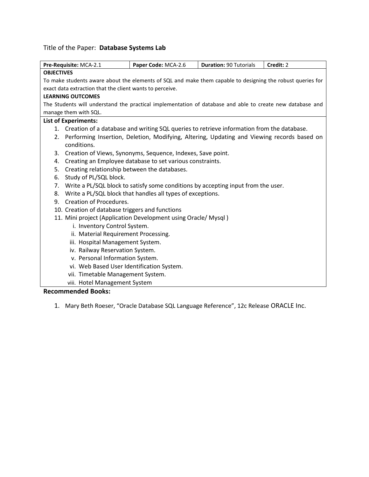# Title of the Paper: **Database Systems Lab**

| Pre-Requisite: MCA-2.1                                                                                     | Paper Code: MCA-2.6                                        | <b>Duration: 90 Tutorials</b> | Credit: 2 |
|------------------------------------------------------------------------------------------------------------|------------------------------------------------------------|-------------------------------|-----------|
| <b>OBJECTIVES</b>                                                                                          |                                                            |                               |           |
| To make students aware about the elements of SQL and make them capable to designing the robust queries for |                                                            |                               |           |
| exact data extraction that the client wants to perceive.                                                   |                                                            |                               |           |
| <b>LEARNING OUTCOMES</b>                                                                                   |                                                            |                               |           |
| The Students will understand the practical implementation of database and able to create new database and  |                                                            |                               |           |
| manage them with SQL.                                                                                      |                                                            |                               |           |
| <b>List of Experiments:</b>                                                                                |                                                            |                               |           |
| 1. Creation of a database and writing SQL queries to retrieve information from the database.               |                                                            |                               |           |
| 2. Performing Insertion, Deletion, Modifying, Altering, Updating and Viewing records based on              |                                                            |                               |           |
| conditions.                                                                                                |                                                            |                               |           |
| 3. Creation of Views, Synonyms, Sequence, Indexes, Save point.                                             |                                                            |                               |           |
| 4.                                                                                                         | Creating an Employee database to set various constraints.  |                               |           |
| 5.<br>Creating relationship between the databases.                                                         |                                                            |                               |           |
| Study of PL/SQL block.<br>6.                                                                               |                                                            |                               |           |
| 7. Write a PL/SQL block to satisfy some conditions by accepting input from the user.                       |                                                            |                               |           |
| 8.                                                                                                         | Write a PL/SQL block that handles all types of exceptions. |                               |           |
| Creation of Procedures.<br>9.                                                                              |                                                            |                               |           |
| 10. Creation of database triggers and functions                                                            |                                                            |                               |           |
| 11. Mini project (Application Development using Oracle/ Mysql)                                             |                                                            |                               |           |
| i. Inventory Control System.                                                                               |                                                            |                               |           |
| ii. Material Requirement Processing.                                                                       |                                                            |                               |           |
| iii. Hospital Management System.                                                                           |                                                            |                               |           |
| iv. Railway Reservation System.                                                                            |                                                            |                               |           |
| v. Personal Information System.                                                                            |                                                            |                               |           |
| vi. Web Based User Identification System.                                                                  |                                                            |                               |           |
| vii. Timetable Management System.                                                                          |                                                            |                               |           |
| viii. Hotel Management System                                                                              |                                                            |                               |           |
| <b>Recommended Books:</b>                                                                                  |                                                            |                               |           |

1. Mary Beth Roeser, "Oracle Database SQL Language Reference", 12c Release ORACLE Inc.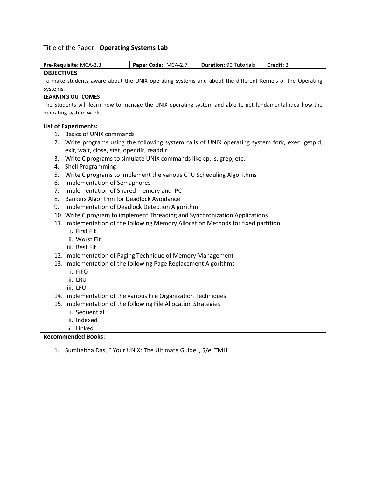# Title of the Paper: **Operating Systems Lab**

| Pre-Requisite: MCA-2.3                                                                                   | Paper Code: MCA-2.7                                                 | <b>Duration: 90 Tutorials</b> | Credit: 2 |
|----------------------------------------------------------------------------------------------------------|---------------------------------------------------------------------|-------------------------------|-----------|
| <b>OBJECTIVES</b>                                                                                        |                                                                     |                               |           |
| To make students aware about the UNIX operating systems and about the different Kernels of the Operating |                                                                     |                               |           |
| Systems.                                                                                                 |                                                                     |                               |           |
| <b>LEARNING OUTCOMES</b>                                                                                 |                                                                     |                               |           |
| The Students will learn how to manage the UNIX operating system and able to get fundamental idea how the |                                                                     |                               |           |
| operating system works.                                                                                  |                                                                     |                               |           |
| <b>List of Experiments:</b>                                                                              |                                                                     |                               |           |
| 1. Basics of UNIX commands                                                                               |                                                                     |                               |           |
| 2. Write programs using the following system calls of UNIX operating system fork, exec, getpid,          |                                                                     |                               |           |
| exit, wait, close, stat, opendir, readdir                                                                |                                                                     |                               |           |
| 3.                                                                                                       | Write C programs to simulate UNIX commands like cp, ls, grep, etc.  |                               |           |
| Shell Programming<br>4.                                                                                  |                                                                     |                               |           |
| 5.                                                                                                       | Write C programs to implement the various CPU Scheduling Algorithms |                               |           |
| <b>Implementation of Semaphores</b><br>6.                                                                |                                                                     |                               |           |
| Implementation of Shared memory and IPC<br>7.                                                            |                                                                     |                               |           |
| 8.<br>Bankers Algorithm for Deadlock Avoidance                                                           |                                                                     |                               |           |
| 9.                                                                                                       | Implementation of Deadlock Detection Algorithm                      |                               |           |
| 10. Write C program to implement Threading and Synchronization Applications                              |                                                                     |                               |           |
| 11. Implementation of the following Memory Allocation Methods for fixed partition<br>i. First Fit        |                                                                     |                               |           |
| ii. Worst Fit                                                                                            |                                                                     |                               |           |
| iii. Best Fit                                                                                            |                                                                     |                               |           |
| 12. Implementation of Paging Technique of Memory Management                                              |                                                                     |                               |           |
| 13. Implementation of the following Page Replacement Algorithms                                          |                                                                     |                               |           |
| i. FIFO                                                                                                  |                                                                     |                               |           |
| ii. LRU                                                                                                  |                                                                     |                               |           |
| iii. LFU                                                                                                 |                                                                     |                               |           |
| 14. Implementation of the various File Organization Techniques                                           |                                                                     |                               |           |
| 15. Implementation of the following File Allocation Strategies                                           |                                                                     |                               |           |
| i. Sequential                                                                                            |                                                                     |                               |           |
| ii. Indexed                                                                                              |                                                                     |                               |           |
| iii. Linked                                                                                              |                                                                     |                               |           |
| <b>Recommended Books:</b>                                                                                |                                                                     |                               |           |

1. Sumitabha Das, " Your UNIX: The Ultimate Guide", 5/e, TMH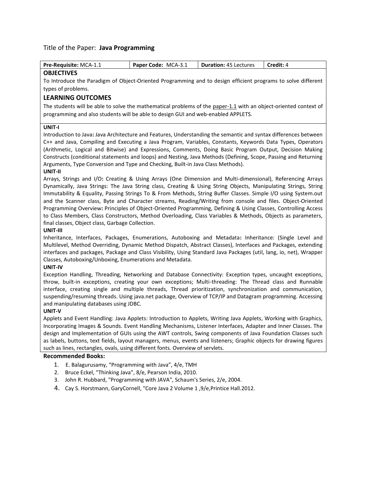#### Title of the Paper: **Java Programming**

| <b>Pre-Requisite: MCA-1.1</b> | Paper Code: MCA-3.1 | <b>Duration: 45 Lectures</b> | <b>Credit:</b> 4 |
|-------------------------------|---------------------|------------------------------|------------------|
| ADIPATN/FC                    |                     |                              |                  |

#### **OBJECTIVES**

To Introduce the Paradigm of Object-Oriented Programming and to design efficient programs to solve different types of problems.

### **LEARNING OUTCOMES**

The students will be able to solve the mathematical problems of the paper-1.1 with an object-oriented context of programming and also students will be able to design GUI and web-enabled APPLETS.

#### **UNIT-I**

Introduction to Java**:** Java Architecture and Features, Understanding the semantic and syntax differences between C++ and Java, Compiling and Executing a Java Program, Variables, Constants, Keywords Data Types, Operators (Arithmetic, Logical and Bitwise) and Expressions, Comments, Doing Basic Program Output, Decision Making Constructs (conditional statements and loops) and Nesting, Java Methods (Defining, Scope, Passing and Returning Arguments, Type Conversion and Type and Checking, Built-in Java Class Methods).

#### **UNIT-II**

Arrays, Strings and I/O**:** Creating & Using Arrays (One Dimension and Multi-dimensional), Referencing Arrays Dynamically, Java Strings: The Java String class, Creating & Using String Objects, Manipulating Strings, String Immutability & Equality, Passing Strings To & From Methods, String Buffer Classes. Simple I/O using System.out and the Scanner class, Byte and Character streams, Reading/Writing from console and files. Object-Oriented Programming Overview**:** Principles of Object-Oriented Programming, Defining & Using Classes, Controlling Access to Class Members, Class Constructors, Method Overloading, Class Variables & Methods, Objects as parameters, final classes, Object class, Garbage Collection.

#### **UNIT-III**

Inheritance, Interfaces, Packages, Enumerations, Autoboxing and Metadata**:** Inheritance: (Single Level and Multilevel, Method Overriding, Dynamic Method Dispatch, Abstract Classes), Interfaces and Packages, extending interfaces and packages, Package and Class Visibility, Using Standard Java Packages (util, lang, io, net), Wrapper Classes, Autoboxing/Unboxing, Enumerations and Metadata.

#### **UNIT-IV**

Exception Handling, Threading, Networking and Database Connectivity: Exception types, uncaught exceptions, throw, built-in exceptions, creating your own exceptions; Multi-threading: The Thread class and Runnable interface, creating single and multiple threads, Thread prioritization, synchronization and communication, suspending/resuming threads. Using java.net package, Overview of TCP/IP and Datagram programming. Accessing and manipulating databases using JDBC.

#### **UNIT-V**

Applets and Event Handling: Java Applets: Introduction to Applets, Writing Java Applets, Working with Graphics, Incorporating Images & Sounds. Event Handling Mechanisms, Listener Interfaces, Adapter and Inner Classes. The design and Implementation of GUIs using the AWT controls, Swing components of Java Foundation Classes such as labels, buttons, text fields, layout managers, menus, events and listeners; Graphic objects for drawing figures such as lines, rectangles, ovals, using different fonts. Overview of servlets.

- 1. E. Balagurusamy, "Programming with Java", 4/e, TMH
- 2. Bruce Eckel, "Thinking Java", 8/e, Pearson India, 2010.
- 3. John R. Hubbard, "Programming with JAVA", Schaum's Series, 2/e, 2004.
- 4. Cay S. Horstmann, GaryCornell, "Core Java 2 Volume 1 ,9/e,Printice Hall.2012.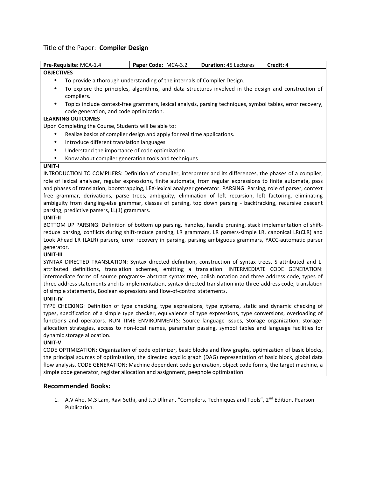## Title of the Paper: **Compiler Design**

| Pre-Requisite: MCA-1.4                                                                                                                                                                                                         | Paper Code: MCA-3.2                                                      | <b>Duration: 45 Lectures</b>                                                                               | Credit: 4 |  |
|--------------------------------------------------------------------------------------------------------------------------------------------------------------------------------------------------------------------------------|--------------------------------------------------------------------------|------------------------------------------------------------------------------------------------------------|-----------|--|
| <b>OBJECTIVES</b>                                                                                                                                                                                                              |                                                                          |                                                                                                            |           |  |
| $\bullet$                                                                                                                                                                                                                      | To provide a thorough understanding of the internals of Compiler Design. |                                                                                                            |           |  |
| ٠                                                                                                                                                                                                                              |                                                                          | To explore the principles, algorithms, and data structures involved in the design and construction of      |           |  |
| compilers.                                                                                                                                                                                                                     |                                                                          |                                                                                                            |           |  |
| $\bullet$                                                                                                                                                                                                                      |                                                                          | Topics include context-free grammars, lexical analysis, parsing techniques, symbol tables, error recovery, |           |  |
| code generation, and code optimization.                                                                                                                                                                                        |                                                                          |                                                                                                            |           |  |
| <b>LEARNING OUTCOMES</b>                                                                                                                                                                                                       |                                                                          |                                                                                                            |           |  |
| Upon Completing the Course, Students will be able to:                                                                                                                                                                          |                                                                          |                                                                                                            |           |  |
| ٠                                                                                                                                                                                                                              | Realize basics of compiler design and apply for real time applications.  |                                                                                                            |           |  |
| Introduce different translation languages<br>$\bullet$                                                                                                                                                                         |                                                                          |                                                                                                            |           |  |
| Understand the importance of code optimization<br>$\bullet$                                                                                                                                                                    |                                                                          |                                                                                                            |           |  |
| ٠                                                                                                                                                                                                                              | Know about compiler generation tools and techniques                      |                                                                                                            |           |  |
| UNIT-I                                                                                                                                                                                                                         |                                                                          |                                                                                                            |           |  |
| INTRODUCTION TO COMPILERS: Definition of compiler, interpreter and its differences, the phases of a compiler,                                                                                                                  |                                                                          |                                                                                                            |           |  |
| role of lexical analyzer, regular expressions, finite automata, from regular expressions to finite automata, pass                                                                                                              |                                                                          |                                                                                                            |           |  |
| and phases of translation, bootstrapping, LEX-lexical analyzer generator. PARSING: Parsing, role of parser, context                                                                                                            |                                                                          |                                                                                                            |           |  |
| free grammar, derivations, parse trees, ambiguity, elimination of left recursion, left factoring, eliminating                                                                                                                  |                                                                          |                                                                                                            |           |  |
| ambiguity from dangling-else grammar, classes of parsing, top down parsing - backtracking, recursive descent                                                                                                                   |                                                                          |                                                                                                            |           |  |
| parsing, predictive parsers, LL(1) grammars.                                                                                                                                                                                   |                                                                          |                                                                                                            |           |  |
| UNIT-II                                                                                                                                                                                                                        |                                                                          |                                                                                                            |           |  |
| BOTTOM UP PARSING: Definition of bottom up parsing, handles, handle pruning, stack implementation of shift-                                                                                                                    |                                                                          |                                                                                                            |           |  |
| reduce parsing, conflicts during shift-reduce parsing, LR grammars, LR parsers-simple LR, canonical LR(CLR) and                                                                                                                |                                                                          |                                                                                                            |           |  |
| Look Ahead LR (LALR) parsers, error recovery in parsing, parsing ambiguous grammars, YACC-automatic parser                                                                                                                     |                                                                          |                                                                                                            |           |  |
| generator.                                                                                                                                                                                                                     |                                                                          |                                                                                                            |           |  |
| UNIT-III                                                                                                                                                                                                                       |                                                                          |                                                                                                            |           |  |
| SYNTAX DIRECTED TRANSLATION: Syntax directed definition, construction of syntax trees, S-attributed and L-                                                                                                                     |                                                                          |                                                                                                            |           |  |
| attributed definitions, translation schemes, emitting a translation. INTERMEDIATE CODE GENERATION:                                                                                                                             |                                                                          |                                                                                                            |           |  |
| intermediate forms of source programs- abstract syntax tree, polish notation and three address code, types of                                                                                                                  |                                                                          |                                                                                                            |           |  |
| three address statements and its implementation, syntax directed translation into three-address code, translation<br>of simple statements, Boolean expressions and flow-of-control statements.                                 |                                                                          |                                                                                                            |           |  |
|                                                                                                                                                                                                                                |                                                                          |                                                                                                            |           |  |
| UNIT-IV                                                                                                                                                                                                                        |                                                                          |                                                                                                            |           |  |
| TYPE CHECKING: Definition of type checking, type expressions, type systems, static and dynamic checking of<br>types, specification of a simple type checker, equivalence of type expressions, type conversions, overloading of |                                                                          |                                                                                                            |           |  |
|                                                                                                                                                                                                                                |                                                                          | functions and operators. RUN TIME ENVIRONMENTS: Source language issues, Storage organization, storage-     |           |  |

allocation strategies, access to non-local names, parameter passing, symbol tables and language facilities for dynamic storage allocation.

#### **UNIT-V**

CODE OPTIMIZATION: Organization of code optimizer, basic blocks and flow graphs, optimization of basic blocks, the principal sources of optimization, the directed acyclic graph (DAG) representation of basic block, global data flow analysis. CODE GENERATION: Machine dependent code generation, object code forms, the target machine, a simple code generator, register allocation and assignment, peephole optimization.

## **Recommended Books:**

1. A.V Aho, M.S Lam, Ravi Sethi, and J.D Ullman, "Compilers, Techniques and Tools", 2<sup>nd</sup> Edition, Pearson Publication.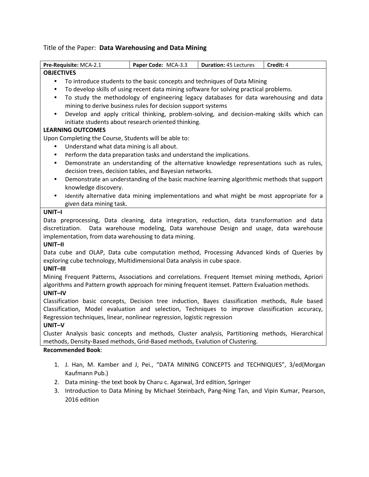# Title of the Paper: **Data Warehousing and Data Mining**

| Pre-Requisite: MCA-2.1                                                                 | Paper Code: MCA-3.3                                                                                                                                                                                | <b>Duration: 45 Lectures</b> | Credit: 4 |  |  |
|----------------------------------------------------------------------------------------|----------------------------------------------------------------------------------------------------------------------------------------------------------------------------------------------------|------------------------------|-----------|--|--|
| <b>OBJECTIVES</b>                                                                      |                                                                                                                                                                                                    |                              |           |  |  |
| To introduce students to the basic concepts and techniques of Data Mining<br>$\bullet$ |                                                                                                                                                                                                    |                              |           |  |  |
| ٠                                                                                      | To develop skills of using recent data mining software for solving practical problems.                                                                                                             |                              |           |  |  |
| $\bullet$                                                                              | To study the methodology of engineering legacy databases for data warehousing and data                                                                                                             |                              |           |  |  |
|                                                                                        | mining to derive business rules for decision support systems                                                                                                                                       |                              |           |  |  |
| $\bullet$                                                                              | Develop and apply critical thinking, problem-solving, and decision-making skills which can                                                                                                         |                              |           |  |  |
|                                                                                        | initiate students about research oriented thinking.                                                                                                                                                |                              |           |  |  |
| <b>LEARNING OUTCOMES</b>                                                               |                                                                                                                                                                                                    |                              |           |  |  |
| Upon Completing the Course, Students will be able to:                                  |                                                                                                                                                                                                    |                              |           |  |  |
| ٠                                                                                      | Understand what data mining is all about.                                                                                                                                                          |                              |           |  |  |
| ٠                                                                                      | Perform the data preparation tasks and understand the implications.                                                                                                                                |                              |           |  |  |
| $\bullet$                                                                              | Demonstrate an understanding of the alternative knowledge representations such as rules,                                                                                                           |                              |           |  |  |
| ٠                                                                                      | decision trees, decision tables, and Bayesian networks.                                                                                                                                            |                              |           |  |  |
| knowledge discovery.                                                                   | Demonstrate an understanding of the basic machine learning algorithmic methods that support                                                                                                        |                              |           |  |  |
| $\bullet$                                                                              | Identify alternative data mining implementations and what might be most appropriate for a                                                                                                          |                              |           |  |  |
| given data mining task.                                                                |                                                                                                                                                                                                    |                              |           |  |  |
| UNIT-I                                                                                 |                                                                                                                                                                                                    |                              |           |  |  |
|                                                                                        | Data preprocessing, Data cleaning, data integration, reduction, data transformation and data                                                                                                       |                              |           |  |  |
|                                                                                        | discretization. Data warehouse modeling, Data warehouse Design and usage, data warehouse                                                                                                           |                              |           |  |  |
|                                                                                        | implementation, from data warehousing to data mining.                                                                                                                                              |                              |           |  |  |
| UNIT-II                                                                                |                                                                                                                                                                                                    |                              |           |  |  |
|                                                                                        | Data cube and OLAP, Data cube computation method, Processing Advanced kinds of Queries by                                                                                                          |                              |           |  |  |
|                                                                                        | exploring cube technology, Multidimensional Data analysis in cube space.                                                                                                                           |                              |           |  |  |
| UNIT-III                                                                               |                                                                                                                                                                                                    |                              |           |  |  |
|                                                                                        | Mining Frequent Patterns, Associations and correlations. Frequent Itemset mining methods, Apriori                                                                                                  |                              |           |  |  |
|                                                                                        | algorithms and Pattern growth approach for mining frequent itemset. Pattern Evaluation methods.                                                                                                    |                              |           |  |  |
| UNIT-IV                                                                                |                                                                                                                                                                                                    |                              |           |  |  |
|                                                                                        | Classification basic concepts, Decision tree induction, Bayes classification methods, Rule based<br>Classification, Model evaluation and selection, Techniques to improve classification accuracy, |                              |           |  |  |
|                                                                                        | Regression techniques, linear, nonlinear regression, logistic regression                                                                                                                           |                              |           |  |  |
| UNIT-V                                                                                 |                                                                                                                                                                                                    |                              |           |  |  |
|                                                                                        | Cluster Analysis basic concepts and methods, Cluster analysis, Partitioning methods, Hierarchical                                                                                                  |                              |           |  |  |
|                                                                                        | methods, Density-Based methods, Grid-Based methods, Evalution of Clustering.                                                                                                                       |                              |           |  |  |
| <b>Recommended Book:</b>                                                               |                                                                                                                                                                                                    |                              |           |  |  |
|                                                                                        |                                                                                                                                                                                                    |                              |           |  |  |
| 1.                                                                                     | J. Han, M. Kamber and J, Pei., "DATA MINING CONCEPTS and TECHNIQUES", 3/ed(Morgan                                                                                                                  |                              |           |  |  |
| Kaufmann Pub.)                                                                         |                                                                                                                                                                                                    |                              |           |  |  |
| 2.                                                                                     | Data mining-the text book by Charu c. Agarwal, 3rd edition, Springer                                                                                                                               |                              |           |  |  |
| 3.                                                                                     | Introduction to Data Mining by Michael Steinbach, Pang-Ning Tan, and Vipin Kumar, Pearson,                                                                                                         |                              |           |  |  |
| 2016 edition                                                                           |                                                                                                                                                                                                    |                              |           |  |  |
|                                                                                        |                                                                                                                                                                                                    |                              |           |  |  |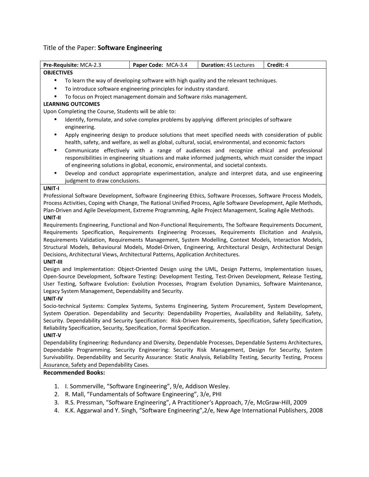# Title of the Paper: **Software Engineering**

| Pre-Requisite: MCA-2.3                                                                                               | Paper Code: MCA-3.4                                                                                    | <b>Duration: 45 Lectures</b> | Credit: 4 |
|----------------------------------------------------------------------------------------------------------------------|--------------------------------------------------------------------------------------------------------|------------------------------|-----------|
| <b>OBJECTIVES</b>                                                                                                    |                                                                                                        |                              |           |
|                                                                                                                      | To learn the way of developing software with high quality and the relevant techniques.                 |                              |           |
| ٠                                                                                                                    | To introduce software engineering principles for industry standard.                                    |                              |           |
| ٠                                                                                                                    | To focus on Project management domain and Software risks management.                                   |                              |           |
| <b>LEARNING OUTCOMES</b>                                                                                             |                                                                                                        |                              |           |
| Upon Completing the Course, Students will be able to:                                                                |                                                                                                        |                              |           |
|                                                                                                                      | Identify, formulate, and solve complex problems by applying different principles of software           |                              |           |
| engineering.                                                                                                         |                                                                                                        |                              |           |
| $\bullet$                                                                                                            | Apply engineering design to produce solutions that meet specified needs with consideration of public   |                              |           |
|                                                                                                                      | health, safety, and welfare, as well as global, cultural, social, environmental, and economic factors  |                              |           |
| $\bullet$                                                                                                            | Communicate effectively with a range of audiences and recognize ethical and professional               |                              |           |
|                                                                                                                      | responsibilities in engineering situations and make informed judgments, which must consider the impact |                              |           |
|                                                                                                                      | of engineering solutions in global, economic, environmental, and societal contexts.                    |                              |           |
| $\bullet$                                                                                                            | Develop and conduct appropriate experimentation, analyze and interpret data, and use engineering       |                              |           |
| judgment to draw conclusions.                                                                                        |                                                                                                        |                              |           |
| UNIT-I                                                                                                               |                                                                                                        |                              |           |
| Professional Software Development, Software Engineering Ethics, Software Processes, Software Process Models,         |                                                                                                        |                              |           |
| Process Activities, Coping with Change, The Rational Unified Process, Agile Software Development, Agile Methods,     |                                                                                                        |                              |           |
| Plan-Driven and Agile Development, Extreme Programming, Agile Project Management, Scaling Agile Methods.             |                                                                                                        |                              |           |
| UNIT-II                                                                                                              |                                                                                                        |                              |           |
| Requirements Engineering, Functional and Non-Functional Requirements, The Software Requirements Document,            |                                                                                                        |                              |           |
| Requirements Specification, Requirements Engineering Processes, Requirements Elicitation and Analysis,               |                                                                                                        |                              |           |
| Requirements Validation, Requirements Management, System Modelling, Context Models, Interaction Models,              |                                                                                                        |                              |           |
| Structural Models, Behavioural Models, Model-Driven, Engineering, Architectural Design, Architectural Design         |                                                                                                        |                              |           |
| Decisions, Architectural Views, Architectural Patterns, Application Architectures.                                   |                                                                                                        |                              |           |
| UNIT-III                                                                                                             |                                                                                                        |                              |           |
| Design and Implementation: Object-Oriented Design using the UML, Design Patterns, Implementation Issues,             |                                                                                                        |                              |           |
| Open-Source Development, Software Testing: Development Testing, Test-Driven Development, Release Testing,            |                                                                                                        |                              |           |
| User Testing, Software Evolution: Evolution Processes, Program Evolution Dynamics, Software Maintenance,             |                                                                                                        |                              |           |
| Legacy System Management, Dependability and Security.                                                                |                                                                                                        |                              |           |
| UNIT-IV<br>Socio-technical Systems: Complex Systems, Systems Engineering, System Procurement, System Development,    |                                                                                                        |                              |           |
| System Operation. Dependability and Security: Dependability Properties, Availability and Reliability, Safety,        |                                                                                                        |                              |           |
| Security. Dependability and Security Specification: Risk-Driven Requirements, Specification, Safety Specification,   |                                                                                                        |                              |           |
| Reliability Specification, Security, Specification, Formal Specification.                                            |                                                                                                        |                              |           |
| UNIT-V                                                                                                               |                                                                                                        |                              |           |
| Dependability Engineering: Redundancy and Diversity, Dependable Processes, Dependable Systems Architectures,         |                                                                                                        |                              |           |
| Dependable Programming. Security Engineering: Security Risk Management, Design for Security, System                  |                                                                                                        |                              |           |
| Survivability. Dependability and Security Assurance: Static Analysis, Reliability Testing, Security Testing, Process |                                                                                                        |                              |           |
| Assurance, Safety and Dependability Cases.                                                                           |                                                                                                        |                              |           |
| <b>Recommended Books:</b>                                                                                            |                                                                                                        |                              |           |
|                                                                                                                      |                                                                                                        |                              |           |
| 1.                                                                                                                   | I. Sommerville, "Software Engineering", 9/e, Addison Wesley.                                           |                              |           |
| 2.                                                                                                                   | R. Mall, "Fundamentals of Software Engineering", 3/e, PHI                                              |                              |           |
| 3.                                                                                                                   | R.S. Pressman, "Software Engineering", A Practitioner's Approach, 7/e, McGraw-Hill, 2009               |                              |           |
| 4.                                                                                                                   | K.K. Aggarwal and Y. Singh, "Software Engineering", 2/e, New Age International Publishers, 2008        |                              |           |
|                                                                                                                      |                                                                                                        |                              |           |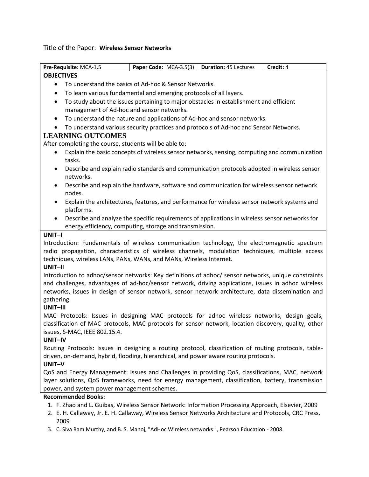Title of the Paper: **Wireless Sensor Networks**

| Pre-Requisite: MCA-1.5                                                                                                                                                                                                                                                                                                                                | Paper Code: MCA-3.5(3)   Duration: 45 Lectures                                                 |  | Credit: 4 |  |  |
|-------------------------------------------------------------------------------------------------------------------------------------------------------------------------------------------------------------------------------------------------------------------------------------------------------------------------------------------------------|------------------------------------------------------------------------------------------------|--|-----------|--|--|
| <b>OBJECTIVES</b>                                                                                                                                                                                                                                                                                                                                     |                                                                                                |  |           |  |  |
| $\bullet$                                                                                                                                                                                                                                                                                                                                             | To understand the basics of Ad-hoc & Sensor Networks.                                          |  |           |  |  |
| $\bullet$                                                                                                                                                                                                                                                                                                                                             | To learn various fundamental and emerging protocols of all layers.                             |  |           |  |  |
| $\bullet$                                                                                                                                                                                                                                                                                                                                             | To study about the issues pertaining to major obstacles in establishment and efficient         |  |           |  |  |
| management of Ad-hoc and sensor networks.                                                                                                                                                                                                                                                                                                             |                                                                                                |  |           |  |  |
| $\bullet$                                                                                                                                                                                                                                                                                                                                             | To understand the nature and applications of Ad-hoc and sensor networks.                       |  |           |  |  |
| $\bullet$                                                                                                                                                                                                                                                                                                                                             | To understand various security practices and protocols of Ad-hoc and Sensor Networks.          |  |           |  |  |
| <b>LEARNING OUTCOMES</b>                                                                                                                                                                                                                                                                                                                              |                                                                                                |  |           |  |  |
| After completing the course, students will be able to:                                                                                                                                                                                                                                                                                                |                                                                                                |  |           |  |  |
| $\bullet$<br>tasks.                                                                                                                                                                                                                                                                                                                                   | Explain the basic concepts of wireless sensor networks, sensing, computing and communication   |  |           |  |  |
| $\bullet$<br>networks.                                                                                                                                                                                                                                                                                                                                | Describe and explain radio standards and communication protocols adopted in wireless sensor    |  |           |  |  |
| $\bullet$<br>nodes.                                                                                                                                                                                                                                                                                                                                   | Describe and explain the hardware, software and communication for wireless sensor network      |  |           |  |  |
| $\bullet$<br>platforms.                                                                                                                                                                                                                                                                                                                               | Explain the architectures, features, and performance for wireless sensor network systems and   |  |           |  |  |
| $\bullet$                                                                                                                                                                                                                                                                                                                                             | Describe and analyze the specific requirements of applications in wireless sensor networks for |  |           |  |  |
|                                                                                                                                                                                                                                                                                                                                                       | energy efficiency, computing, storage and transmission.                                        |  |           |  |  |
| UNIT-I                                                                                                                                                                                                                                                                                                                                                |                                                                                                |  |           |  |  |
| Introduction: Fundamentals of wireless communication technology, the electromagnetic spectrum<br>radio propagation, characteristics of wireless channels, modulation techniques, multiple access<br>techniques, wireless LANs, PANs, WANs, and MANs, Wireless Internet.                                                                               |                                                                                                |  |           |  |  |
| UNIT-II<br>Introduction to adhoc/sensor networks: Key definitions of adhoc/ sensor networks, unique constraints<br>and challenges, advantages of ad-hoc/sensor network, driving applications, issues in adhoc wireless<br>networks, issues in design of sensor network, sensor network architecture, data dissemination and<br>gathering.<br>UNIT-III |                                                                                                |  |           |  |  |
| MAC Protocols: Issues in designing MAC protocols for adhoc wireless networks, design goals,<br>classification of MAC protocols, MAC protocols for sensor network, location discovery, quality, other<br>issues, S-MAC, IEEE 802.15.4.<br>UNIT-IV                                                                                                      |                                                                                                |  |           |  |  |
| Routing Protocols: Issues in designing a routing protocol, classification of routing protocols, table-<br>driven, on-demand, hybrid, flooding, hierarchical, and power aware routing protocols.<br>UNIT-V                                                                                                                                             |                                                                                                |  |           |  |  |
| QoS and Energy Management: Issues and Challenges in providing QoS, classifications, MAC, network<br>layer solutions, QoS frameworks, need for energy management, classification, battery, transmission<br>power, and system power management schemes.                                                                                                 |                                                                                                |  |           |  |  |
| <b>Recommended Books:</b>                                                                                                                                                                                                                                                                                                                             |                                                                                                |  |           |  |  |
| 1. F. Zhao and L. Guibas, Wireless Sensor Network: Information Processing Approach, Elsevier, 2009                                                                                                                                                                                                                                                    |                                                                                                |  |           |  |  |

- 2. E. H. Callaway, Jr. E. H. Callaway, Wireless Sensor Networks Architecture and Protocols, CRC Press, 2009
- 3. C. Siva Ram Murthy, and B. S. Manoj, "AdHoc Wireless networks ", Pearson Education 2008.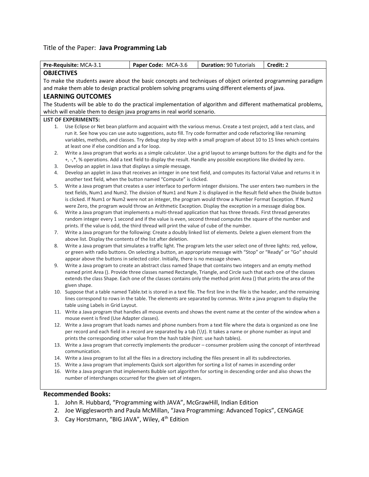## Title of the Paper: **Java Programming Lab**

|                   | Pre-Requisite: MCA-3.1                                                                                                                                                                                                                    | Paper Code: MCA-3.6                                                                                                                                                                                                           | <b>Duration: 90 Tutorials</b> | Credit: 2 |  |
|-------------------|-------------------------------------------------------------------------------------------------------------------------------------------------------------------------------------------------------------------------------------------|-------------------------------------------------------------------------------------------------------------------------------------------------------------------------------------------------------------------------------|-------------------------------|-----------|--|
| <b>OBJECTIVES</b> |                                                                                                                                                                                                                                           |                                                                                                                                                                                                                               |                               |           |  |
|                   |                                                                                                                                                                                                                                           | To make the students aware about the basic concepts and techniques of object oriented programming paradigm                                                                                                                    |                               |           |  |
|                   |                                                                                                                                                                                                                                           | and make them able to design practical problem solving programs using different elements of java.                                                                                                                             |                               |           |  |
|                   | <b>LEARNING OUTCOMES</b>                                                                                                                                                                                                                  |                                                                                                                                                                                                                               |                               |           |  |
|                   |                                                                                                                                                                                                                                           | The Students will be able to do the practical implementation of algorithm and different mathematical problems,                                                                                                                |                               |           |  |
|                   |                                                                                                                                                                                                                                           | which will enable them to design java programs in real world scenario.                                                                                                                                                        |                               |           |  |
|                   | <b>LIST OF EXPERIMENTS:</b>                                                                                                                                                                                                               |                                                                                                                                                                                                                               |                               |           |  |
| 1.                |                                                                                                                                                                                                                                           | Use Eclipse or Net bean platform and acquaint with the various menus. Create a test project, add a test class, and                                                                                                            |                               |           |  |
|                   |                                                                                                                                                                                                                                           | run it. See how you can use auto suggestions, auto fill. Try code formatter and code refactoring like renaming                                                                                                                |                               |           |  |
|                   |                                                                                                                                                                                                                                           | variables, methods, and classes. Try debug step by step with a small program of about 10 to 15 lines which contains                                                                                                           |                               |           |  |
|                   | at least one if else condition and a for loop.                                                                                                                                                                                            |                                                                                                                                                                                                                               |                               |           |  |
| 2.                |                                                                                                                                                                                                                                           | Write a Java program that works as a simple calculator. Use a grid layout to arrange buttons for the digits and for the                                                                                                       |                               |           |  |
|                   |                                                                                                                                                                                                                                           | +, -,*, % operations. Add a text field to display the result. Handle any possible exceptions like divided by zero.                                                                                                            |                               |           |  |
| 3.                | Develop an applet in Java that displays a simple message.                                                                                                                                                                                 |                                                                                                                                                                                                                               |                               |           |  |
| 4.                |                                                                                                                                                                                                                                           | Develop an applet in Java that receives an integer in one text field, and computes its factorial Value and returns it in                                                                                                      |                               |           |  |
|                   |                                                                                                                                                                                                                                           | another text field, when the button named "Compute" is clicked.                                                                                                                                                               |                               |           |  |
| 5.                |                                                                                                                                                                                                                                           | Write a Java program that creates a user interface to perform integer divisions. The user enters two numbers in the                                                                                                           |                               |           |  |
|                   |                                                                                                                                                                                                                                           | text fields, Num1 and Num2. The division of Num1 and Num 2 is displayed in the Result field when the Divide button                                                                                                            |                               |           |  |
|                   |                                                                                                                                                                                                                                           | is clicked. If Num1 or Num2 were not an integer, the program would throw a Number Format Exception. If Num2                                                                                                                   |                               |           |  |
|                   |                                                                                                                                                                                                                                           | were Zero, the program would throw an Arithmetic Exception. Display the exception in a message dialog box.                                                                                                                    |                               |           |  |
| 6.                |                                                                                                                                                                                                                                           | Write a Java program that implements a multi-thread application that has three threads. First thread generates<br>random integer every 1 second and if the value is even, second thread computes the square of the number and |                               |           |  |
|                   |                                                                                                                                                                                                                                           | prints. If the value is odd, the third thread will print the value of cube of the number.                                                                                                                                     |                               |           |  |
| 7.                |                                                                                                                                                                                                                                           | Write a Java program for the following: Create a doubly linked list of elements. Delete a given element from the                                                                                                              |                               |           |  |
|                   | above list. Display the contents of the list after deletion.                                                                                                                                                                              |                                                                                                                                                                                                                               |                               |           |  |
| 8.                | Write a Java program that simulates a traffic light. The program lets the user select one of three lights: red, yellow,                                                                                                                   |                                                                                                                                                                                                                               |                               |           |  |
|                   | or green with radio buttons. On selecting a button, an appropriate message with "Stop" or "Ready" or "Go" should                                                                                                                          |                                                                                                                                                                                                                               |                               |           |  |
|                   |                                                                                                                                                                                                                                           | appear above the buttons in selected color. Initially, there is no message shown.                                                                                                                                             |                               |           |  |
| 9.                | Write a Java program to create an abstract class named Shape that contains two integers and an empty method                                                                                                                               |                                                                                                                                                                                                                               |                               |           |  |
|                   | named print Area (). Provide three classes named Rectangle, Triangle, and Circle such that each one of the classes<br>extends the class Shape. Each one of the classes contains only the method print Area () that prints the area of the |                                                                                                                                                                                                                               |                               |           |  |
|                   | given shape.                                                                                                                                                                                                                              |                                                                                                                                                                                                                               |                               |           |  |
|                   |                                                                                                                                                                                                                                           | 10. Suppose that a table named Table.txt is stored in a text file. The first line in the file is the header, and the remaining                                                                                                |                               |           |  |
|                   |                                                                                                                                                                                                                                           | lines correspond to rows in the table. The elements are separated by commas. Write a java program to display the                                                                                                              |                               |           |  |
|                   | table using Labels in Grid Layout.                                                                                                                                                                                                        |                                                                                                                                                                                                                               |                               |           |  |
|                   |                                                                                                                                                                                                                                           | 11. Write a Java program that handles all mouse events and shows the event name at the center of the window when a                                                                                                            |                               |           |  |
|                   | mouse event is fired (Use Adapter classes).                                                                                                                                                                                               |                                                                                                                                                                                                                               |                               |           |  |
|                   |                                                                                                                                                                                                                                           | 12. Write a Java program that loads names and phone numbers from a text file where the data is organized as one line                                                                                                          |                               |           |  |
|                   | per record and each field in a record are separated by a tab (\\t). It takes a name or phone number as input and                                                                                                                          |                                                                                                                                                                                                                               |                               |           |  |
|                   | prints the corresponding other value from the hash table (hint: use hash tables).                                                                                                                                                         |                                                                                                                                                                                                                               |                               |           |  |
|                   | 13. Write a Java program that correctly implements the producer - consumer problem using the concept of interthread                                                                                                                       |                                                                                                                                                                                                                               |                               |           |  |
|                   | communication.                                                                                                                                                                                                                            |                                                                                                                                                                                                                               |                               |           |  |
|                   |                                                                                                                                                                                                                                           | 14. Write a Java program to list all the files in a directory including the files present in all its subdirectories.                                                                                                          |                               |           |  |
|                   |                                                                                                                                                                                                                                           | 15. Write a Java program that implements Quick sort algorithm for sorting a list of names in ascending order                                                                                                                  |                               |           |  |
|                   |                                                                                                                                                                                                                                           | 16. Write a Java program that implements Bubble sort algorithm for sorting in descending order and also shows the                                                                                                             |                               |           |  |
|                   | number of interchanges occurred for the given set of integers.                                                                                                                                                                            |                                                                                                                                                                                                                               |                               |           |  |
|                   |                                                                                                                                                                                                                                           |                                                                                                                                                                                                                               |                               |           |  |
|                   | <b>Recommended Books:</b>                                                                                                                                                                                                                 |                                                                                                                                                                                                                               |                               |           |  |

- 1. John R. Hubbard, "Programming with JAVA", McGrawHill, Indian Edition
- 2. Joe Wigglesworth and Paula McMillan, "Java Programming: Advanced Topics", CENGAGE
- 3. Cay Horstmann, "BIG JAVA", Wiley, 4<sup>th</sup> Edition